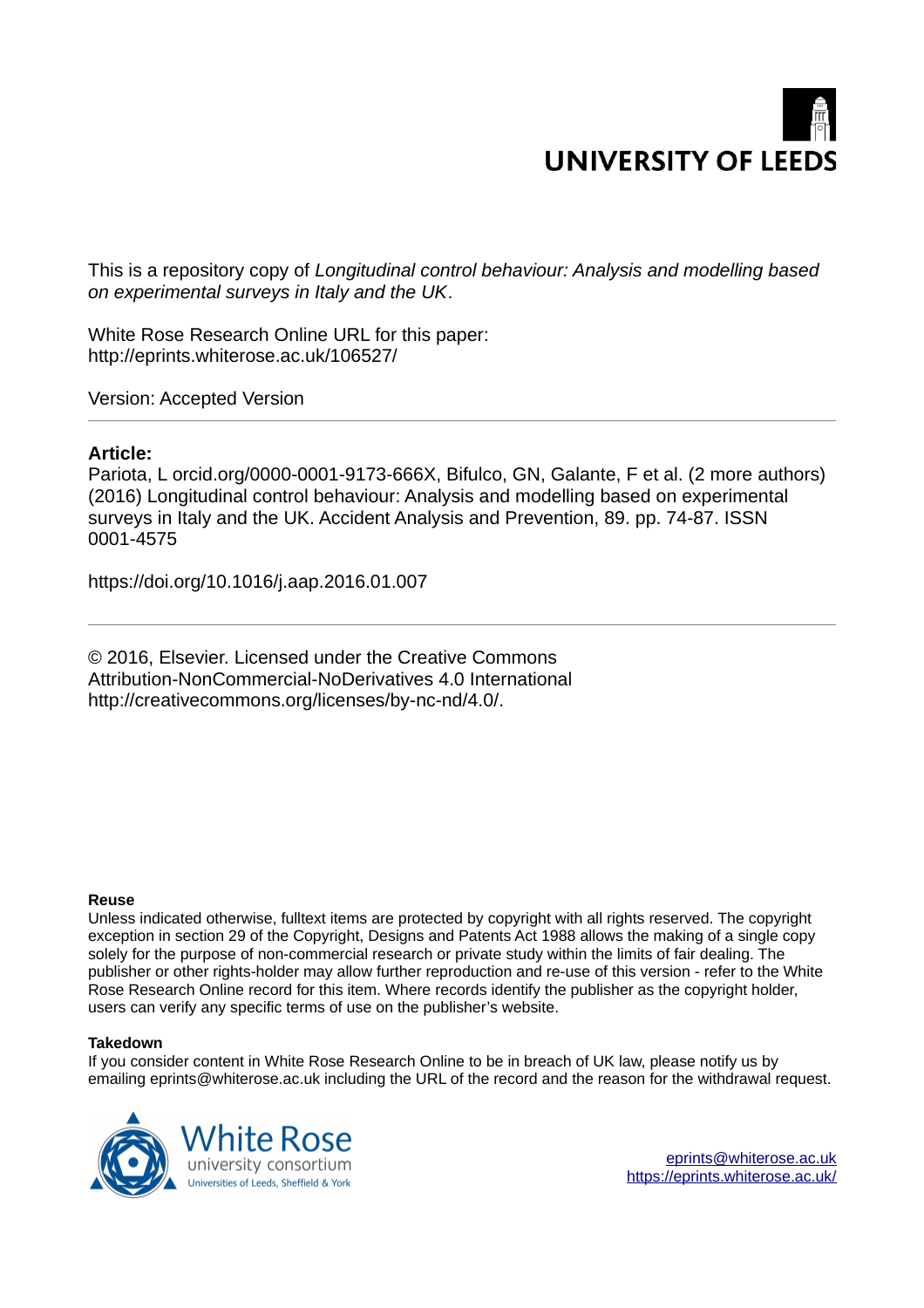

This is a repository copy of *Longitudinal control behaviour: Analysis and modelling based on experimental surveys in Italy and the UK*.

White Rose Research Online URL for this paper: http://eprints.whiterose.ac.uk/106527/

Version: Accepted Version

# **Article:**

Pariota, L orcid.org/0000-0001-9173-666X, Bifulco, GN, Galante, F et al. (2 more authors) (2016) Longitudinal control behaviour: Analysis and modelling based on experimental surveys in Italy and the UK. Accident Analysis and Prevention, 89. pp. 74-87. ISSN 0001-4575

https://doi.org/10.1016/j.aap.2016.01.007

© 2016, Elsevier. Licensed under the Creative Commons Attribution-NonCommercial-NoDerivatives 4.0 International http://creativecommons.org/licenses/by-nc-nd/4.0/.

## **Reuse**

Unless indicated otherwise, fulltext items are protected by copyright with all rights reserved. The copyright exception in section 29 of the Copyright, Designs and Patents Act 1988 allows the making of a single copy solely for the purpose of non-commercial research or private study within the limits of fair dealing. The publisher or other rights-holder may allow further reproduction and re-use of this version - refer to the White Rose Research Online record for this item. Where records identify the publisher as the copyright holder, users can verify any specific terms of use on the publisher's website.

## **Takedown**

If you consider content in White Rose Research Online to be in breach of UK law, please notify us by emailing eprints@whiterose.ac.uk including the URL of the record and the reason for the withdrawal request.



[eprints@whiterose.ac.uk](mailto:eprints@whiterose.ac.uk) <https://eprints.whiterose.ac.uk/>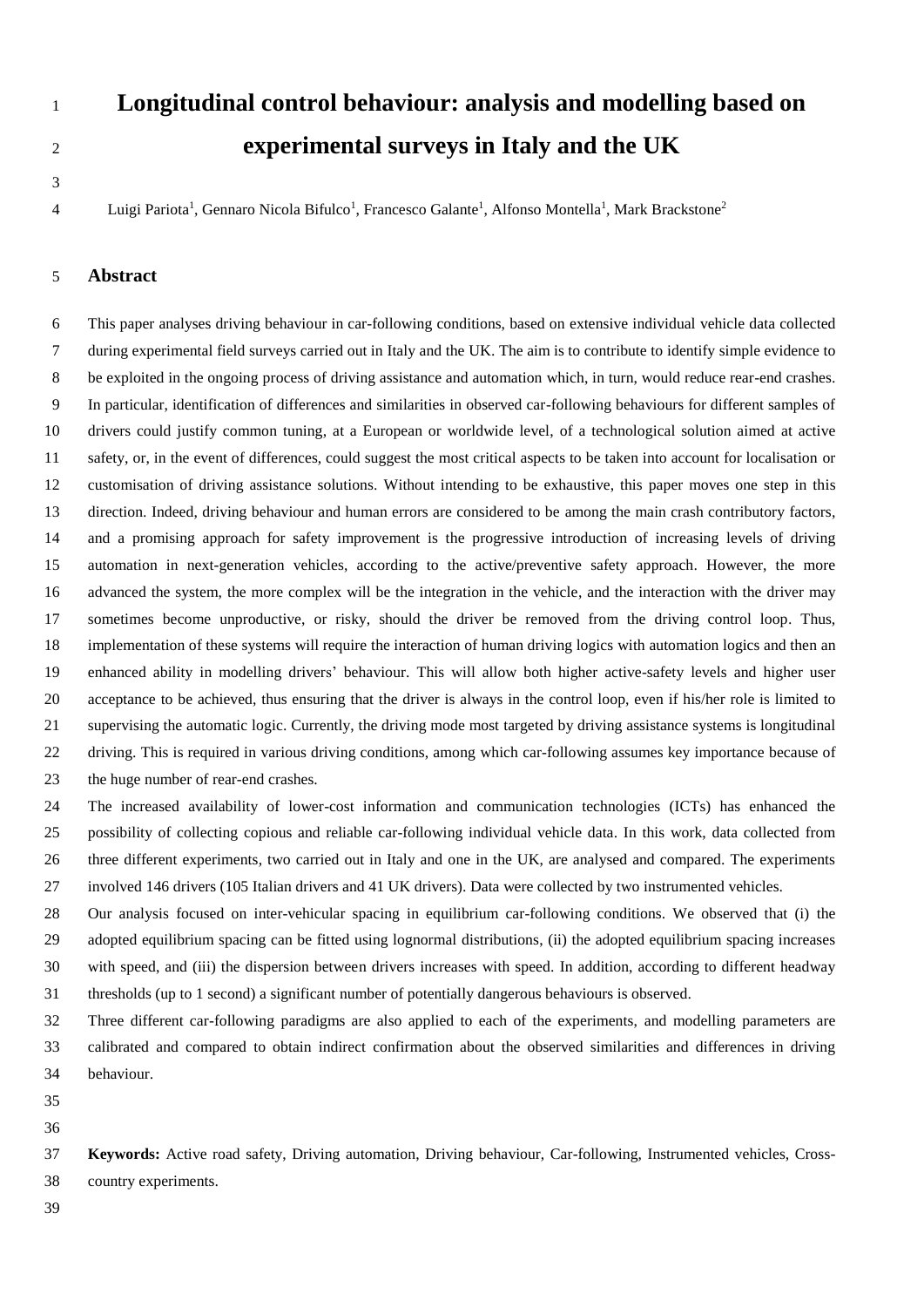# 

# **Longitudinal control behaviour: analysis and modelling based on experimental surveys in Italy and the UK**

4 Luigi Pariota<sup>1</sup>, Gennaro Nicola Bifulco<sup>1</sup>, Francesco Galante<sup>1</sup>, Alfonso Montella<sup>1</sup>, Mark Brackstone<sup>2</sup>

## **Abstract**

6 This paper analyses driving behaviour in car-following conditions, based on extensive individual vehicle data collected 7 during experimental field surveys carried out in Italy and the UK. The aim is to contribute to identify simple evidence to 8 be exploited in the ongoing process of driving assistance and automation which, in turn, would reduce rear-end crashes. 9 In particular, identification of differences and similarities in observed car-following behaviours for different samples of drivers could justify common tuning, at a European or worldwide level, of a technological solution aimed at active safety, or, in the event of differences, could suggest the most critical aspects to be taken into account for localisation or customisation of driving assistance solutions. Without intending to be exhaustive, this paper moves one step in this direction. Indeed, driving behaviour and human errors are considered to be among the main crash contributory factors, and a promising approach for safety improvement is the progressive introduction of increasing levels of driving automation in next-generation vehicles, according to the active/preventive safety approach. However, the more advanced the system, the more complex will be the integration in the vehicle, and the interaction with the driver may sometimes become unproductive, or risky, should the driver be removed from the driving control loop. Thus, implementation of these systems will require the interaction of human driving logics with automation logics and then an enhanced ability in modelling drivers' behaviour. This will allow both higher active-safety levels and higher user acceptance to be achieved, thus ensuring that the driver is always in the control loop, even if his/her role is limited to supervising the automatic logic. Currently, the driving mode most targeted by driving assistance systems is longitudinal driving. This is required in various driving conditions, among which car-following assumes key importance because of the huge number of rear-end crashes.

 The increased availability of lower-cost information and communication technologies (ICTs) has enhanced the possibility of collecting copious and reliable car-following individual vehicle data. In this work, data collected from three different experiments, two carried out in Italy and one in the UK, are analysed and compared. The experiments involved 146 drivers (105 Italian drivers and 41 UK drivers). Data were collected by two instrumented vehicles.

 Our analysis focused on inter-vehicular spacing in equilibrium car-following conditions. We observed that (i) the adopted equilibrium spacing can be fitted using lognormal distributions, (ii) the adopted equilibrium spacing increases with speed, and (iii) the dispersion between drivers increases with speed. In addition, according to different headway thresholds (up to 1 second) a significant number of potentially dangerous behaviours is observed.

 Three different car-following paradigms are also applied to each of the experiments, and modelling parameters are calibrated and compared to obtain indirect confirmation about the observed similarities and differences in driving behaviour.

 

 **Keywords:** Active road safety, Driving automation, Driving behaviour, Car-following, Instrumented vehicles, Cross-country experiments.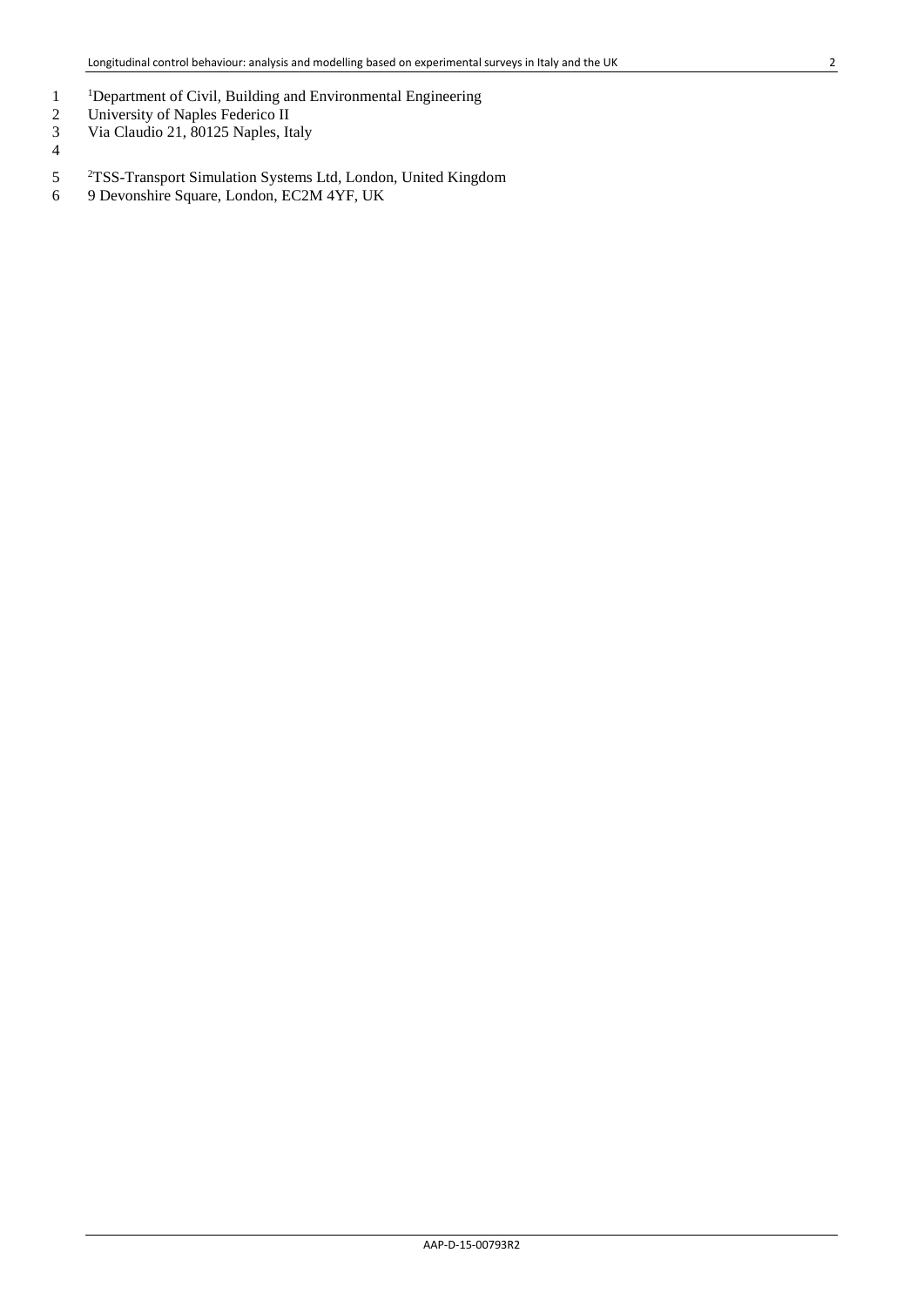- <sup>1</sup>Department of Civil, Building and Environmental Engineering<br>2 University of Naples Federico II
- 2 University of Naples Federico II<br>3 Via Claudio 21, 80125 Naples, It
- 3 Via Claudio 21, 80125 Naples, Italy
- 4
- <sup>2</sup>TSS-Transport Simulation Systems Ltd, London, United Kingdom<br>
9 Devonshire Square, London, EC2M 4YF, UK
- 6 9 Devonshire Square, London, EC2M 4YF, UK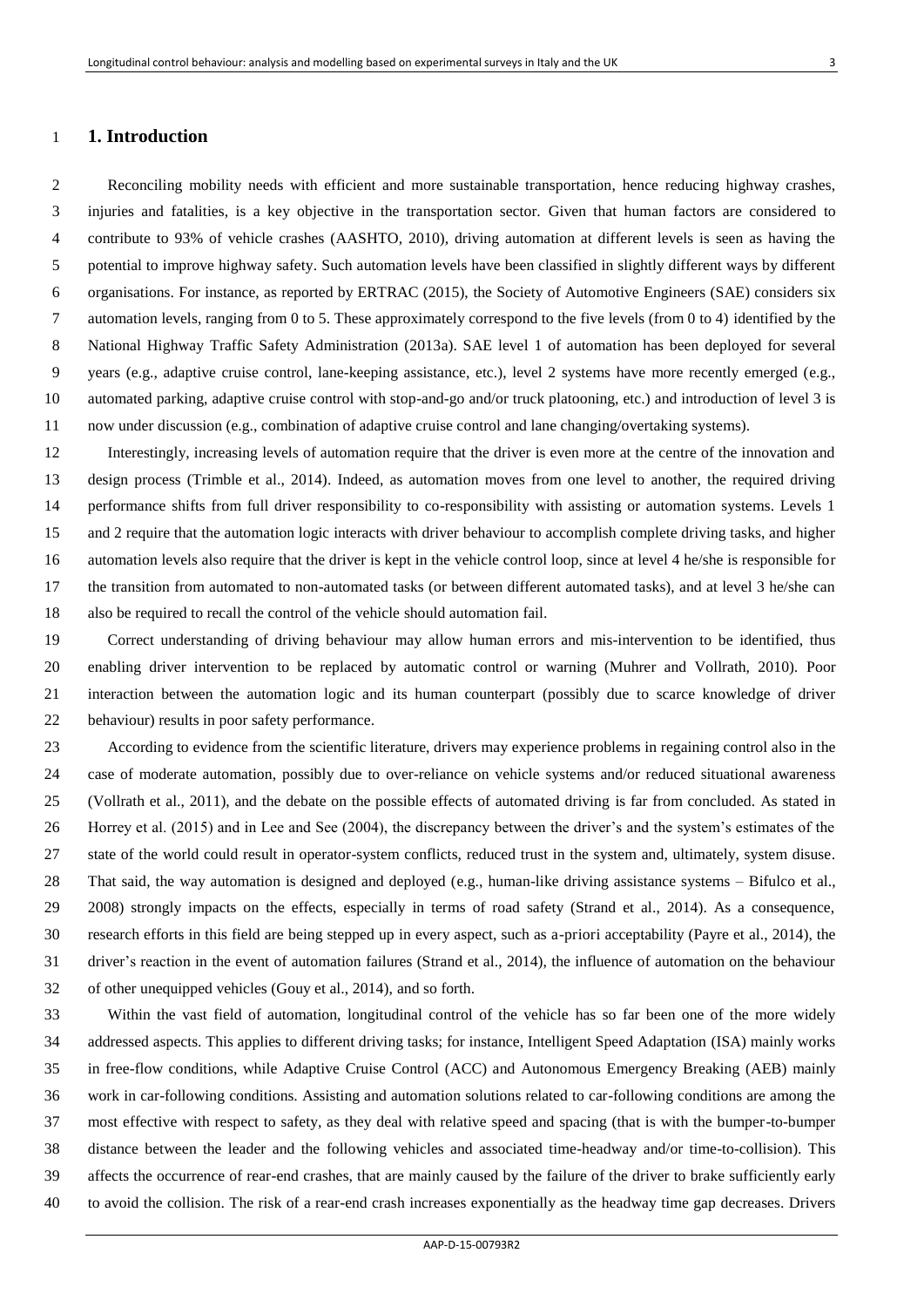### **1. Introduction**

2 Reconciling mobility needs with efficient and more sustainable transportation, hence reducing highway crashes, 3 injuries and fatalities, is a key objective in the transportation sector. Given that human factors are considered to 4 contribute to 93% of vehicle crashes (AASHTO, 2010), driving automation at different levels is seen as having the 5 potential to improve highway safety. Such automation levels have been classified in slightly different ways by different 6 organisations. For instance, as reported by ERTRAC (2015), the Society of Automotive Engineers (SAE) considers six 7 automation levels, ranging from 0 to 5. These approximately correspond to the five levels (from 0 to 4) identified by the 8 National Highway Traffic Safety Administration (2013a). SAE level 1 of automation has been deployed for several 9 years (e.g., adaptive cruise control, lane-keeping assistance, etc.), level 2 systems have more recently emerged (e.g., automated parking, adaptive cruise control with stop-and-go and/or truck platooning, etc.) and introduction of level 3 is now under discussion (e.g., combination of adaptive cruise control and lane changing/overtaking systems).

 Interestingly, increasing levels of automation require that the driver is even more at the centre of the innovation and design process (Trimble et al., 2014). Indeed, as automation moves from one level to another, the required driving performance shifts from full driver responsibility to co-responsibility with assisting or automation systems. Levels 1 and 2 require that the automation logic interacts with driver behaviour to accomplish complete driving tasks, and higher automation levels also require that the driver is kept in the vehicle control loop, since at level 4 he/she is responsible for the transition from automated to non-automated tasks (or between different automated tasks), and at level 3 he/she can also be required to recall the control of the vehicle should automation fail.

 Correct understanding of driving behaviour may allow human errors and mis-intervention to be identified, thus enabling driver intervention to be replaced by automatic control or warning (Muhrer and Vollrath, 2010). Poor interaction between the automation logic and its human counterpart (possibly due to scarce knowledge of driver behaviour) results in poor safety performance.

 According to evidence from the scientific literature, drivers may experience problems in regaining control also in the case of moderate automation, possibly due to over-reliance on vehicle systems and/or reduced situational awareness (Vollrath et al., 2011), and the debate on the possible effects of automated driving is far from concluded. As stated in Horrey et al. (2015) and in Lee and See (2004), the discrepancy between the driver's and the system's estimates of the state of the world could result in operator-system conflicts, reduced trust in the system and, ultimately, system disuse. That said, the way automation is designed and deployed (e.g., human-like driving assistance systems – Bifulco et al., 2008) strongly impacts on the effects, especially in terms of road safety (Strand et al., 2014). As a consequence, research efforts in this field are being stepped up in every aspect, such as a-priori acceptability (Payre et al., 2014), the driver's reaction in the event of automation failures (Strand et al., 2014), the influence of automation on the behaviour of other unequipped vehicles (Gouy et al., 2014), and so forth.

 Within the vast field of automation, longitudinal control of the vehicle has so far been one of the more widely addressed aspects. This applies to different driving tasks; for instance, Intelligent Speed Adaptation (ISA) mainly works in free-flow conditions, while Adaptive Cruise Control (ACC) and Autonomous Emergency Breaking (AEB) mainly work in car-following conditions. Assisting and automation solutions related to car-following conditions are among the most effective with respect to safety, as they deal with relative speed and spacing (that is with the bumper-to-bumper distance between the leader and the following vehicles and associated time-headway and/or time-to-collision). This affects the occurrence of rear-end crashes, that are mainly caused by the failure of the driver to brake sufficiently early to avoid the collision. The risk of a rear-end crash increases exponentially as the headway time gap decreases. Drivers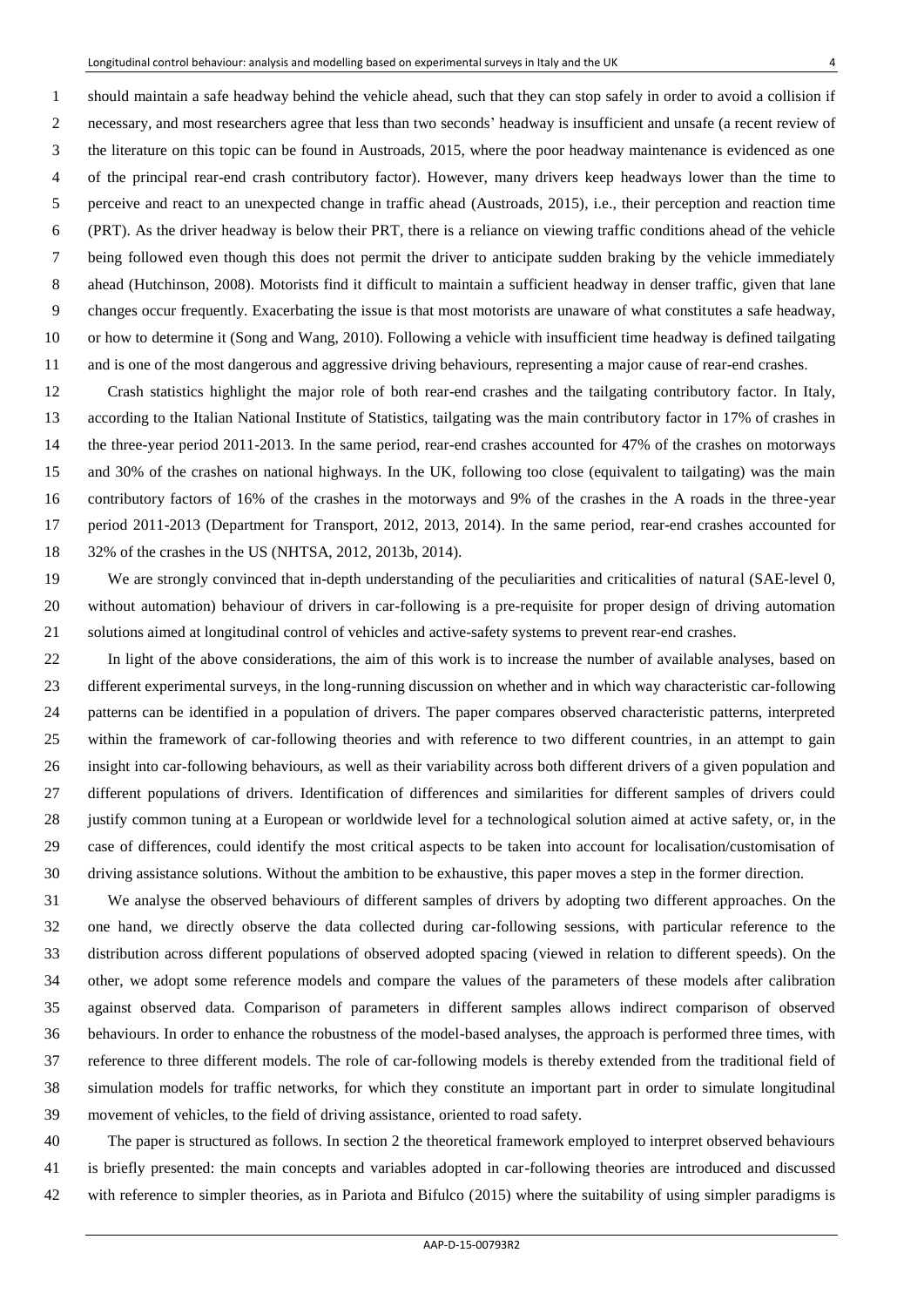1 should maintain a safe headway behind the vehicle ahead, such that they can stop safely in order to avoid a collision if 2 necessary, and most researchers agree that less than two seconds' headway is insufficient and unsafe (a recent review of 3 the literature on this topic can be found in Austroads, 2015, where the poor headway maintenance is evidenced as one 4 of the principal rear-end crash contributory factor). However, many drivers keep headways lower than the time to 5 perceive and react to an unexpected change in traffic ahead (Austroads, 2015), i.e., their perception and reaction time 6 (PRT). As the driver headway is below their PRT, there is a reliance on viewing traffic conditions ahead of the vehicle 7 being followed even though this does not permit the driver to anticipate sudden braking by the vehicle immediately 8 ahead (Hutchinson, 2008). Motorists find it difficult to maintain a sufficient headway in denser traffic, given that lane 9 changes occur frequently. Exacerbating the issue is that most motorists are unaware of what constitutes a safe headway, or how to determine it (Song and Wang, 2010). Following a vehicle with insufficient time headway is defined tailgating and is one of the most dangerous and aggressive driving behaviours, representing a major cause of rear-end crashes.

 Crash statistics highlight the major role of both rear-end crashes and the tailgating contributory factor. In Italy, according to the Italian National Institute of Statistics, tailgating was the main contributory factor in 17% of crashes in the three-year period 2011-2013. In the same period, rear-end crashes accounted for 47% of the crashes on motorways and 30% of the crashes on national highways. In the UK, following too close (equivalent to tailgating) was the main contributory factors of 16% of the crashes in the motorways and 9% of the crashes in the A roads in the three-year period 2011-2013 (Department for Transport, 2012, 2013, 2014). In the same period, rear-end crashes accounted for 32% of the crashes in the US (NHTSA, 2012, 2013b, 2014).

 We are strongly convinced that in-depth understanding of the peculiarities and criticalities of natural (SAE-level 0, without automation) behaviour of drivers in car-following is a pre-requisite for proper design of driving automation solutions aimed at longitudinal control of vehicles and active-safety systems to prevent rear-end crashes.

 In light of the above considerations, the aim of this work is to increase the number of available analyses, based on different experimental surveys, in the long-running discussion on whether and in which way characteristic car-following patterns can be identified in a population of drivers. The paper compares observed characteristic patterns, interpreted within the framework of car-following theories and with reference to two different countries, in an attempt to gain insight into car-following behaviours, as well as their variability across both different drivers of a given population and different populations of drivers. Identification of differences and similarities for different samples of drivers could justify common tuning at a European or worldwide level for a technological solution aimed at active safety, or, in the case of differences, could identify the most critical aspects to be taken into account for localisation/customisation of driving assistance solutions. Without the ambition to be exhaustive, this paper moves a step in the former direction.

 We analyse the observed behaviours of different samples of drivers by adopting two different approaches. On the one hand, we directly observe the data collected during car-following sessions, with particular reference to the distribution across different populations of observed adopted spacing (viewed in relation to different speeds). On the other, we adopt some reference models and compare the values of the parameters of these models after calibration against observed data. Comparison of parameters in different samples allows indirect comparison of observed behaviours. In order to enhance the robustness of the model-based analyses, the approach is performed three times, with reference to three different models. The role of car-following models is thereby extended from the traditional field of simulation models for traffic networks, for which they constitute an important part in order to simulate longitudinal movement of vehicles, to the field of driving assistance, oriented to road safety.

 The paper is structured as follows. In section 2 the theoretical framework employed to interpret observed behaviours is briefly presented: the main concepts and variables adopted in car-following theories are introduced and discussed with reference to simpler theories, as in Pariota and Bifulco (2015) where the suitability of using simpler paradigms is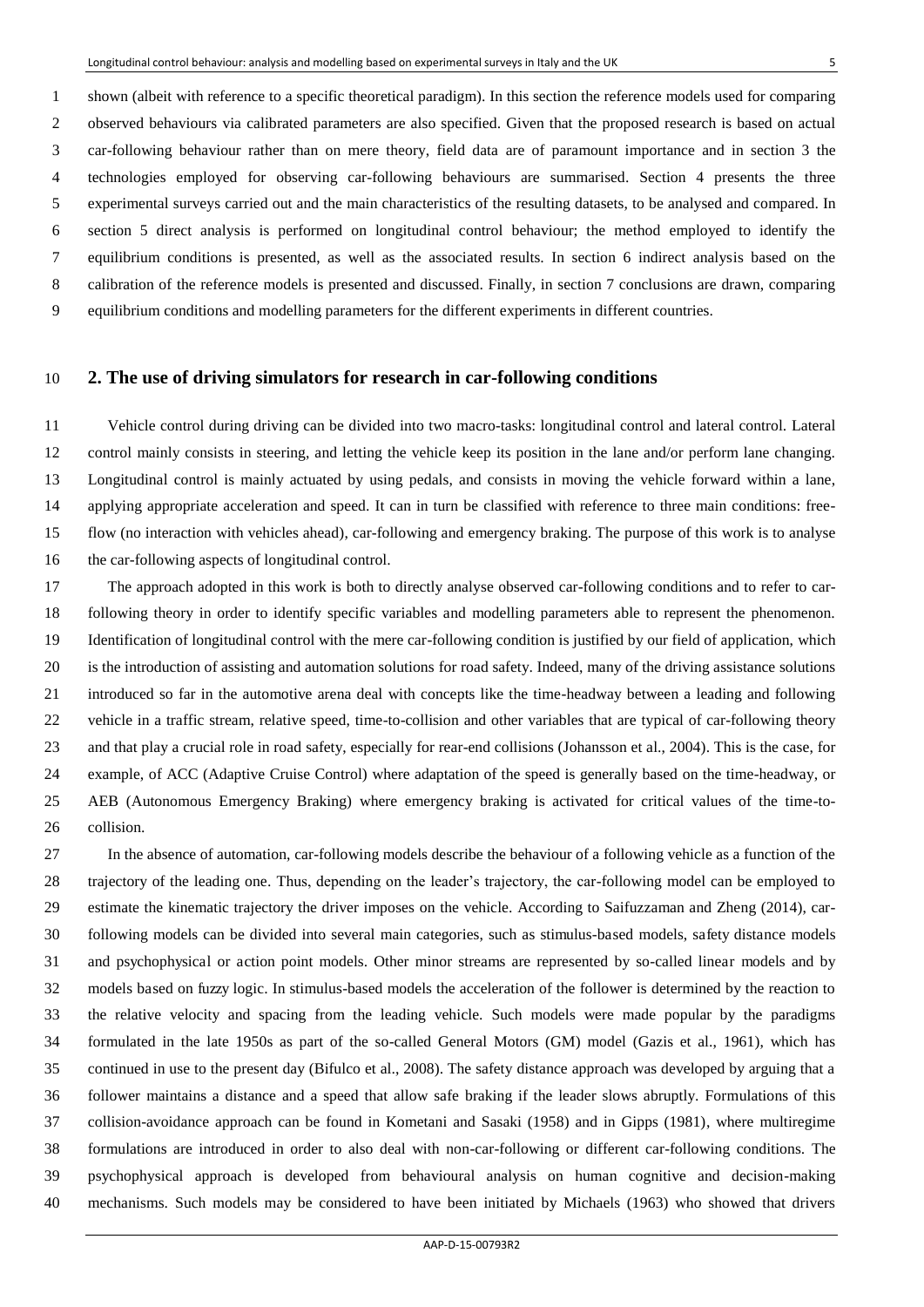1 shown (albeit with reference to a specific theoretical paradigm). In this section the reference models used for comparing 2 observed behaviours via calibrated parameters are also specified. Given that the proposed research is based on actual 3 car-following behaviour rather than on mere theory, field data are of paramount importance and in section 3 the 4 technologies employed for observing car-following behaviours are summarised. Section 4 presents the three 5 experimental surveys carried out and the main characteristics of the resulting datasets, to be analysed and compared. In 6 section 5 direct analysis is performed on longitudinal control behaviour; the method employed to identify the 7 equilibrium conditions is presented, as well as the associated results. In section 6 indirect analysis based on the 8 calibration of the reference models is presented and discussed. Finally, in section 7 conclusions are drawn, comparing 9 equilibrium conditions and modelling parameters for the different experiments in different countries.

### **2. The use of driving simulators for research in car-following conditions**

 Vehicle control during driving can be divided into two macro-tasks: longitudinal control and lateral control. Lateral control mainly consists in steering, and letting the vehicle keep its position in the lane and/or perform lane changing. Longitudinal control is mainly actuated by using pedals, and consists in moving the vehicle forward within a lane, applying appropriate acceleration and speed. It can in turn be classified with reference to three main conditions: free- flow (no interaction with vehicles ahead), car-following and emergency braking. The purpose of this work is to analyse the car-following aspects of longitudinal control.

 The approach adopted in this work is both to directly analyse observed car-following conditions and to refer to car- following theory in order to identify specific variables and modelling parameters able to represent the phenomenon. Identification of longitudinal control with the mere car-following condition is justified by our field of application, which is the introduction of assisting and automation solutions for road safety. Indeed, many of the driving assistance solutions introduced so far in the automotive arena deal with concepts like the time-headway between a leading and following vehicle in a traffic stream, relative speed, time-to-collision and other variables that are typical of car-following theory and that play a crucial role in road safety, especially for rear-end collisions (Johansson et al., 2004). This is the case, for example, of ACC (Adaptive Cruise Control) where adaptation of the speed is generally based on the time-headway, or AEB (Autonomous Emergency Braking) where emergency braking is activated for critical values of the time-to-collision.

 In the absence of automation, car-following models describe the behaviour of a following vehicle as a function of the trajectory of the leading one. Thus, depending on the leader's trajectory, the car-following model can be employed to estimate the kinematic trajectory the driver imposes on the vehicle. According to Saifuzzaman and Zheng (2014), car- following models can be divided into several main categories, such as stimulus-based models, safety distance models and psychophysical or action point models. Other minor streams are represented by so-called linear models and by models based on fuzzy logic. In stimulus-based models the acceleration of the follower is determined by the reaction to the relative velocity and spacing from the leading vehicle. Such models were made popular by the paradigms formulated in the late 1950s as part of the so-called General Motors (GM) model (Gazis et al., 1961), which has continued in use to the present day (Bifulco et al., 2008). The safety distance approach was developed by arguing that a follower maintains a distance and a speed that allow safe braking if the leader slows abruptly. Formulations of this collision-avoidance approach can be found in Kometani and Sasaki (1958) and in Gipps (1981), where multiregime formulations are introduced in order to also deal with non-car-following or different car-following conditions. The psychophysical approach is developed from behavioural analysis on human cognitive and decision-making mechanisms. Such models may be considered to have been initiated by Michaels (1963) who showed that drivers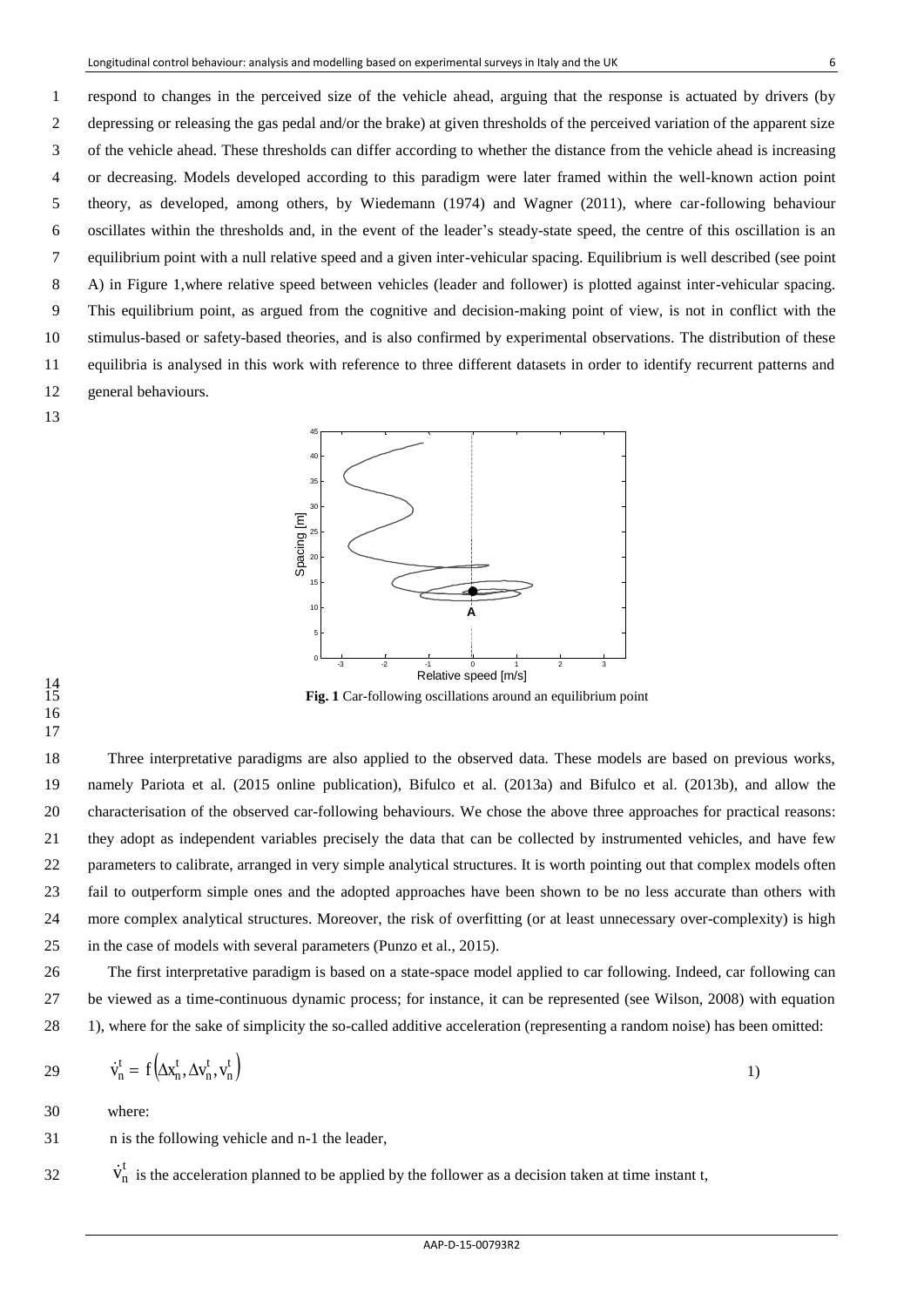1 respond to changes in the perceived size of the vehicle ahead, arguing that the response is actuated by drivers (by 2 depressing or releasing the gas pedal and/or the brake) at given thresholds of the perceived variation of the apparent size 3 of the vehicle ahead. These thresholds can differ according to whether the distance from the vehicle ahead is increasing 4 or decreasing. Models developed according to this paradigm were later framed within the well-known action point 5 theory, as developed, among others, by Wiedemann (1974) and Wagner (2011), where car-following behaviour 6 oscillates within the thresholds and, in the event of the leader's steady-state speed, the centre of this oscillation is an 7 equilibrium point with a null relative speed and a given inter-vehicular spacing. Equilibrium is well described (see point 8 A) in Figure 1,where relative speed between vehicles (leader and follower) is plotted against inter-vehicular spacing. 9 This equilibrium point, as argued from the cognitive and decision-making point of view, is not in conflict with the 10 stimulus-based or safety-based theories, and is also confirmed by experimental observations. The distribution of these 11 equilibria is analysed in this work with reference to three different datasets in order to identify recurrent patterns and 12 general behaviours.

13



 $\frac{14}{15}$ 

**Fig. 1** Car-following oscillations around an equilibrium point

16 17

18 Three interpretative paradigms are also applied to the observed data. These models are based on previous works, 19 namely Pariota et al. (2015 online publication), Bifulco et al. (2013a) and Bifulco et al. (2013b), and allow the 20 characterisation of the observed car-following behaviours. We chose the above three approaches for practical reasons: 21 they adopt as independent variables precisely the data that can be collected by instrumented vehicles, and have few 22 parameters to calibrate, arranged in very simple analytical structures. It is worth pointing out that complex models often 23 fail to outperform simple ones and the adopted approaches have been shown to be no less accurate than others with 24 more complex analytical structures. Moreover, the risk of overfitting (or at least unnecessary over-complexity) is high 25 in the case of models with several parameters (Punzo et al., 2015).

26 The first interpretative paradigm is based on a state-space model applied to car following. Indeed, car following can 27 be viewed as a time-continuous dynamic process; for instance, it can be represented (see Wilson, 2008) with equation 28 1), where for the sake of simplicity the so-called additive acceleration (representing a random noise) has been omitted:

$$
29 \qquad \dot{v}_n^t = f\left(\Delta x_n^t, \Delta v_n^t, v_n^t\right) \tag{1}
$$

30 where:

31 n is the following vehicle and n-1 the leader,

 $32 \text{ v}^t$  is the acceleration planned to be applied by the follower as a decision taken at time instant t,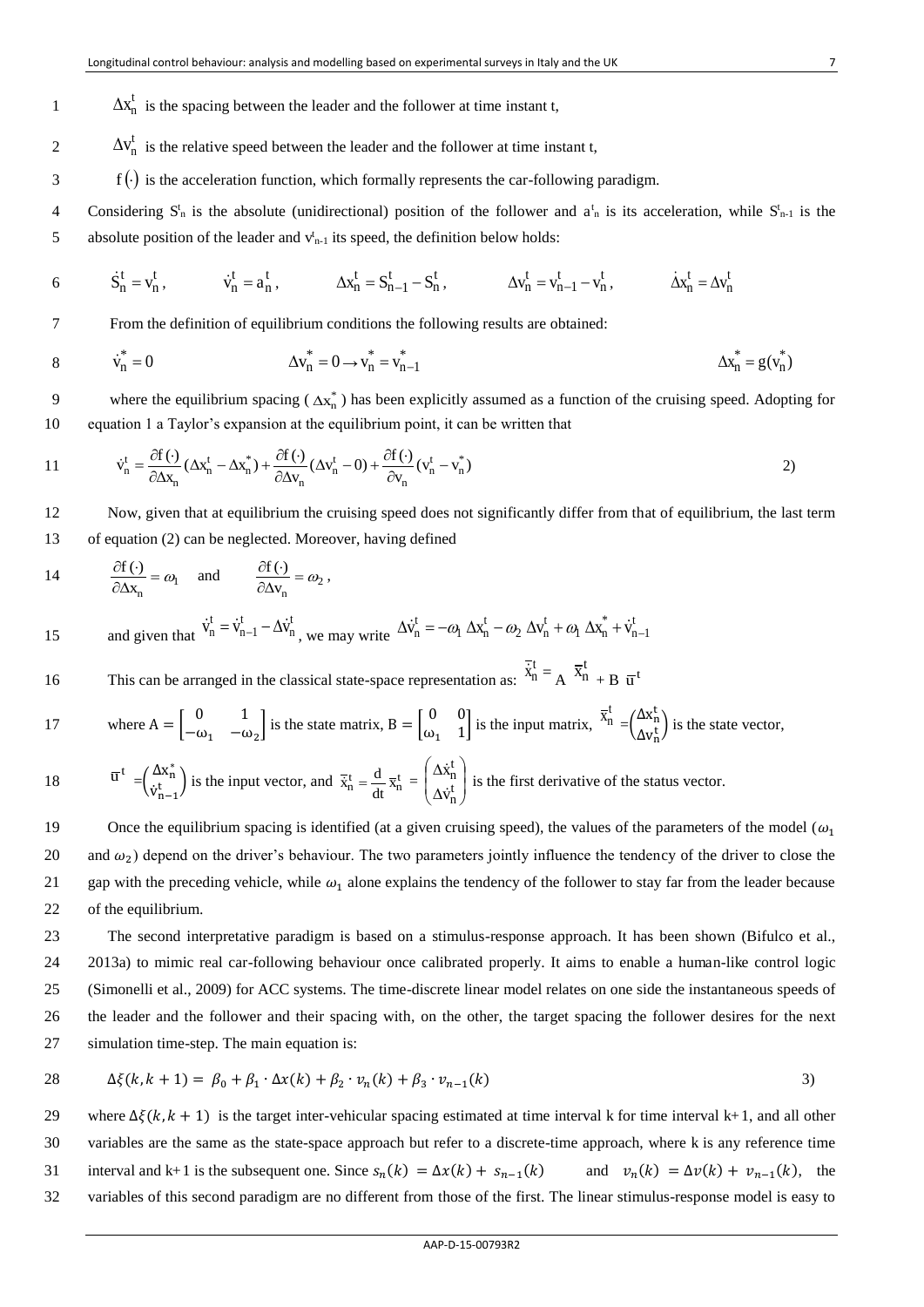- $1 \Delta x_n^t$  is the spacing between the leader and the follower at time instant t,
- $2 \Delta v_n^t$  is the relative speed between the leader and the follower at time instant t,
- $\mathbf{f}(\cdot)$  is the acceleration function, which formally represents the car-following paradigm.
- 4 Considering  $S_n^t$  is the absolute (unidirectional) position of the follower and  $a_n^t$  is its acceleration, while  $S_{n-1}^t$  is the 5 absolute position of the leader and  $v_{n-1}^t$  its speed, the definition below holds:
- 6  $S_n^t = v_n^t$ ,  $\dot{v}_n^t = a_n^t$ ,  $\Delta x_n^t = S_{n-1}^t S_n^t$ ,  $\Delta v_n^t = v_{n-1}^t v_n^t$ ,  $\dot{\Delta x}_n^t = \Delta v_n^t$

7 From the definition of equilibrium conditions the following results are obtained:

8 
$$
\dot{v}_n^* = 0
$$
  $\Delta v_n^* = 0 \rightarrow v_n^* = v_{n-1}^*$   $\Delta x_n^* = g(v_n^*)$ 

9 where the equilibrium spacing  $(\Delta x_n^*)$  has been explicitly assumed as a function of the cruising speed. Adopting for 10 equation 1 a Taylor's expansion at the equilibrium point, it can be written that

11 
$$
\dot{v}_n^t = \frac{\partial f(\cdot)}{\partial \Delta x_n} (\Delta x_n^t - \Delta x_n^*) + \frac{\partial f(\cdot)}{\partial \Delta v_n} (\Delta v_n^t - 0) + \frac{\partial f(\cdot)}{\partial v_n} (v_n^t - v_n^*)
$$

12 Now, given that at equilibrium the cruising speed does not significantly differ from that of equilibrium, the last term 13 of equation (2) can be neglected. Moreover, having defined

14 
$$
\frac{\partial f(\cdot)}{\partial \Delta x_n} = \omega_1
$$
 and  $\frac{\partial f(\cdot)}{\partial \Delta v_n} = \omega_2$ ,

and given that t n t n 15 and given that  $\dot{v}_n^t = \dot{v}_{n-1}^t - \Delta \dot{v}_n^t$ , we may write  $\Delta \dot{v}_n^t = -\omega_1 \Delta x_n^t - \omega_2 \Delta v_n^t + \omega_1 \Delta x_n^* + \dot{v}_n^t$ n ⊤ 'n t n t n  $\Delta \dot{v}_n^t = -\omega_1 \Delta x_n^t - \omega_2 \Delta v_n^t + \omega_1 \Delta x_n^* + \dot{v}_{n-1}^t$ 

This can be arranged in the classical state-space representation as:  $\overline{\dot{x}}_n^t = A$ 16 This can be arranged in the classical state-space representation as:  $\overline{\dot{x}}_n^t = A \overline{x}_n^t + B \overline{u}^t$ 

17 where 
$$
A = \begin{bmatrix} 0 & 1 \\ -\omega_1 & -\omega_2 \end{bmatrix}
$$
 is the state matrix,  $B = \begin{bmatrix} 0 & 0 \\ \omega_1 & 1 \end{bmatrix}$  is the input matrix,  $\overline{x}_n^t = \begin{pmatrix} \Delta x_n^t \\ \Delta v_n^t \end{pmatrix}$  is the state vector,

 $\overline{u}^t = \begin{pmatrix} \Delta x_n^* \\ \overline{v}^t \end{pmatrix}$  $\left(\dot{v}_{n-1}^{t}\right)$  is the input vector, and  $\dot{\vec{x}}_{n}^{t} = \frac{d}{dt} \vec{x}_{n}^{t}$  $\bar{\mathbf{x}}_n^t = \frac{\mathbf{d}}{\mathbf{d}t} \overline{\mathbf{x}}_n^t = \begin{bmatrix} \Delta \mathbf{x}_n^t \\ \Delta \mathbf{x}^t \end{bmatrix}$ J  $\setminus$  $\overline{\phantom{a}}$  $\setminus$ ſ Δ Δ t n t n v x ÿ 18  $\overline{u}^t = (\frac{\Delta x_n^*}{t})$  is the input vector, and  $\overline{x}_n^t = \frac{d}{dx_n^t}$   $\overline{x}_n^t = (\frac{\Delta x_n^t}{t})$  is the first derivative of the status vector.

19 Once the equilibrium spacing is identified (at a given cruising speed), the values of the parameters of the model ( $\omega_1$ 20 and  $\omega_2$ ) depend on the driver's behaviour. The two parameters jointly influence the tendency of the driver to close the 21 gap with the preceding vehicle, while  $\omega_1$  alone explains the tendency of the follower to stay far from the leader because 22 of the equilibrium.

 The second interpretative paradigm is based on a stimulus-response approach. It has been shown (Bifulco et al., 2013a) to mimic real car-following behaviour once calibrated properly. It aims to enable a human-like control logic (Simonelli et al., 2009) for ACC systems. The time-discrete linear model relates on one side the instantaneous speeds of the leader and the follower and their spacing with, on the other, the target spacing the follower desires for the next simulation time-step. The main equation is:

28 
$$
\Delta \xi(k, k + 1) = \beta_0 + \beta_1 \cdot \Delta x(k) + \beta_2 \cdot v_n(k) + \beta_3 \cdot v_{n-1}(k)
$$
 (3)

29 where  $\Delta \xi(k, k+1)$  is the target inter-vehicular spacing estimated at time interval k for time interval k+1, and all other 30 variables are the same as the state-space approach but refer to a discrete-time approach, where k is any reference time 31 interval and k+1 is the subsequent one. Since  $s_n(k) = \Delta x(k) + s_{n-1}(k)$  and  $v_n(k) = \Delta v(k) + v_{n-1}(k)$ , the 32 variables of this second paradigm are no different from those of the first. The linear stimulus-response model is easy to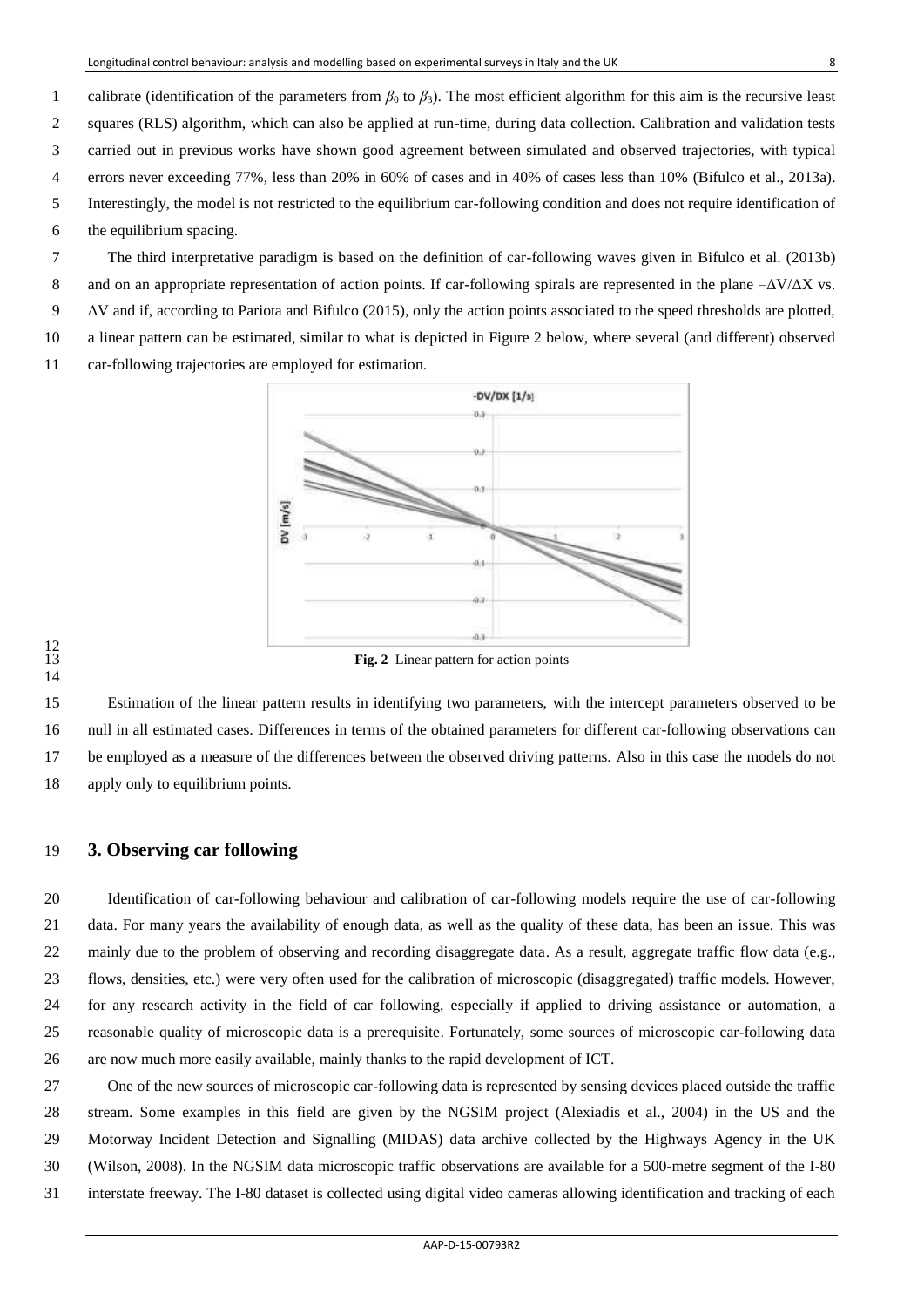1 calibrate (identification of the parameters from  $\beta_0$  to  $\beta_3$ ). The most efficient algorithm for this aim is the recursive least 2 squares (RLS) algorithm, which can also be applied at run-time, during data collection. Calibration and validation tests 3 carried out in previous works have shown good agreement between simulated and observed trajectories, with typical 4 errors never exceeding 77%, less than 20% in 60% of cases and in 40% of cases less than 10% (Bifulco et al., 2013a). 5 Interestingly, the model is not restricted to the equilibrium car-following condition and does not require identification of 6 the equilibrium spacing.

7 The third interpretative paradigm is based on the definition of car-following waves given in Bifulco et al. (2013b) 8 and on an appropriate representation of action points. If car-following spirals are represented in the plane  $-\Delta V/\Delta X$  vs.  $9 \Delta V$  and if, according to Pariota and Bifulco (2015), only the action points associated to the speed thresholds are plotted, a linear pattern can be estimated, similar to what is depicted in Figure 2 below, where several (and different) observed car-following trajectories are employed for estimation.



# 

 Estimation of the linear pattern results in identifying two parameters, with the intercept parameters observed to be null in all estimated cases. Differences in terms of the obtained parameters for different car-following observations can be employed as a measure of the differences between the observed driving patterns. Also in this case the models do not apply only to equilibrium points.

## **3. Observing car following**

 Identification of car-following behaviour and calibration of car-following models require the use of car-following data. For many years the availability of enough data, as well as the quality of these data, has been an issue. This was 22 mainly due to the problem of observing and recording disaggregate data. As a result, aggregate traffic flow data (e.g., flows, densities, etc.) were very often used for the calibration of microscopic (disaggregated) traffic models. However, for any research activity in the field of car following, especially if applied to driving assistance or automation, a reasonable quality of microscopic data is a prerequisite. Fortunately, some sources of microscopic car-following data are now much more easily available, mainly thanks to the rapid development of ICT.

 One of the new sources of microscopic car-following data is represented by sensing devices placed outside the traffic stream. Some examples in this field are given by the NGSIM project (Alexiadis et al., 2004) in the US and the Motorway Incident Detection and Signalling (MIDAS) data archive collected by the Highways Agency in the UK (Wilson, 2008). In the NGSIM data microscopic traffic observations are available for a 500-metre segment of the I-80 interstate freeway. The I-80 dataset is collected using digital video cameras allowing identification and tracking of each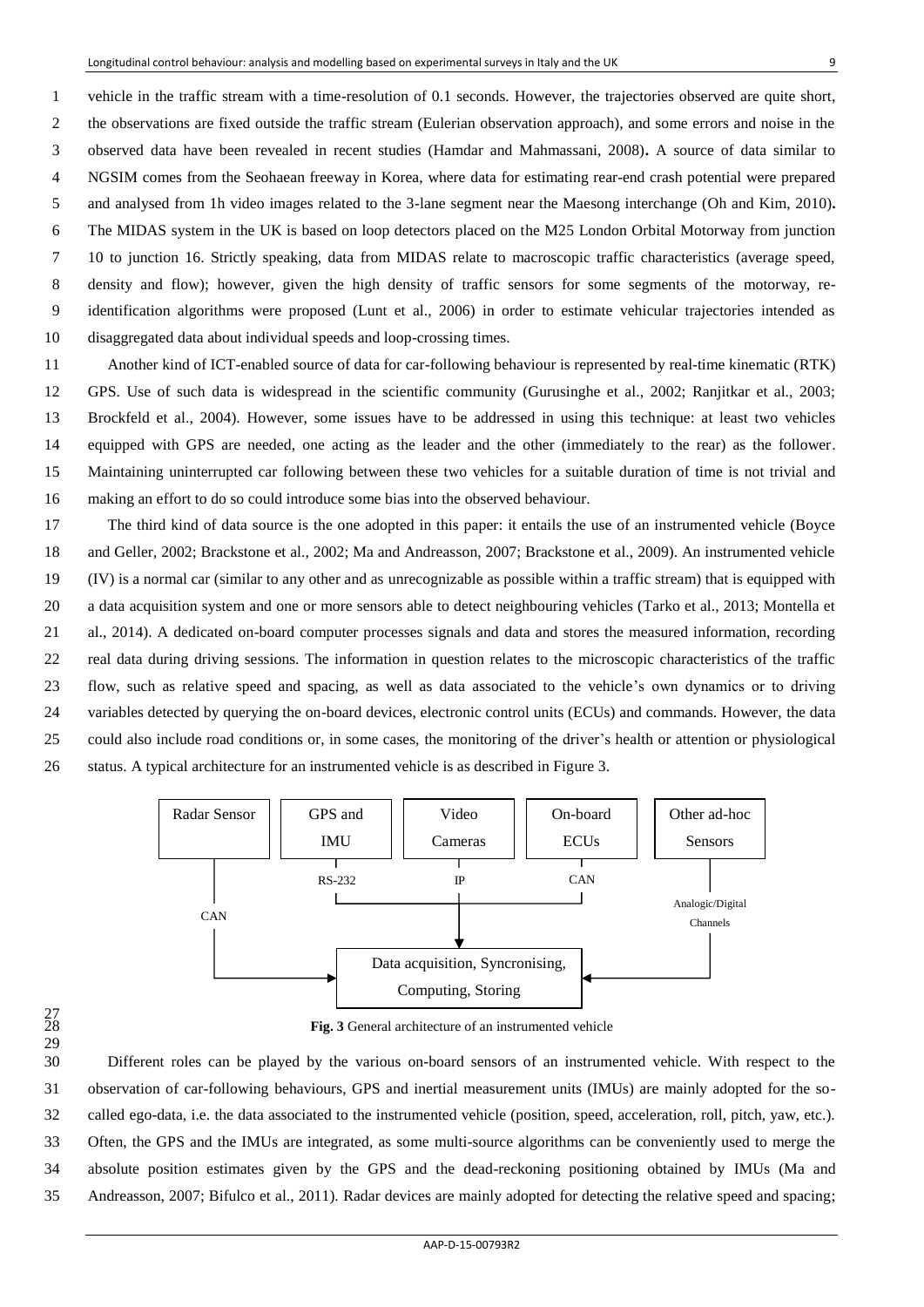1 vehicle in the traffic stream with a time-resolution of 0.1 seconds. However, the trajectories observed are quite short, 2 the observations are fixed outside the traffic stream (Eulerian observation approach), and some errors and noise in the 3 observed data have been revealed in recent studies (Hamdar and Mahmassani, 2008)**.** A source of data similar to 4 NGSIM comes from the Seohaean freeway in Korea, where data for estimating rear-end crash potential were prepared 5 and analysed from 1h video images related to the 3-lane segment near the Maesong interchange (Oh and Kim, 2010)**.** 6 The MIDAS system in the UK is based on loop detectors placed on the M25 London Orbital Motorway from junction 7 10 to junction 16. Strictly speaking, data from MIDAS relate to macroscopic traffic characteristics (average speed, 8 density and flow); however, given the high density of traffic sensors for some segments of the motorway, re-9 identification algorithms were proposed (Lunt et al., 2006) in order to estimate vehicular trajectories intended as 10 disaggregated data about individual speeds and loop-crossing times.

 Another kind of ICT-enabled source of data for car-following behaviour is represented by real-time kinematic (RTK) GPS. Use of such data is widespread in the scientific community (Gurusinghe et al., 2002; Ranjitkar et al., 2003; Brockfeld et al., 2004). However, some issues have to be addressed in using this technique: at least two vehicles equipped with GPS are needed, one acting as the leader and the other (immediately to the rear) as the follower. Maintaining uninterrupted car following between these two vehicles for a suitable duration of time is not trivial and making an effort to do so could introduce some bias into the observed behaviour.

 The third kind of data source is the one adopted in this paper: it entails the use of an instrumented vehicle (Boyce and Geller, 2002; Brackstone et al., 2002; Ma and Andreasson, 2007; Brackstone et al., 2009). An instrumented vehicle (IV) is a normal car (similar to any other and as unrecognizable as possible within a traffic stream) that is equipped with a data acquisition system and one or more sensors able to detect neighbouring vehicles (Tarko et al., 2013; Montella et al., 2014). A dedicated on-board computer processes signals and data and stores the measured information, recording real data during driving sessions. The information in question relates to the microscopic characteristics of the traffic flow, such as relative speed and spacing, as well as data associated to the vehicle's own dynamics or to driving variables detected by querying the on-board devices, electronic control units (ECUs) and commands. However, the data could also include road conditions or, in some cases, the monitoring of the driver's health or attention or physiological status. A typical architecture for an instrumented vehicle is as described in Figure 3.



# $\frac{27}{28}$ 29

Fig. 3 General architecture of an instrumented vehicle

 Different roles can be played by the various on-board sensors of an instrumented vehicle. With respect to the observation of car-following behaviours, GPS and inertial measurement units (IMUs) are mainly adopted for the so- called ego-data, i.e. the data associated to the instrumented vehicle (position, speed, acceleration, roll, pitch, yaw, etc.). Often, the GPS and the IMUs are integrated, as some multi-source algorithms can be conveniently used to merge the absolute position estimates given by the GPS and the dead-reckoning positioning obtained by IMUs (Ma and Andreasson, 2007; Bifulco et al., 2011). Radar devices are mainly adopted for detecting the relative speed and spacing;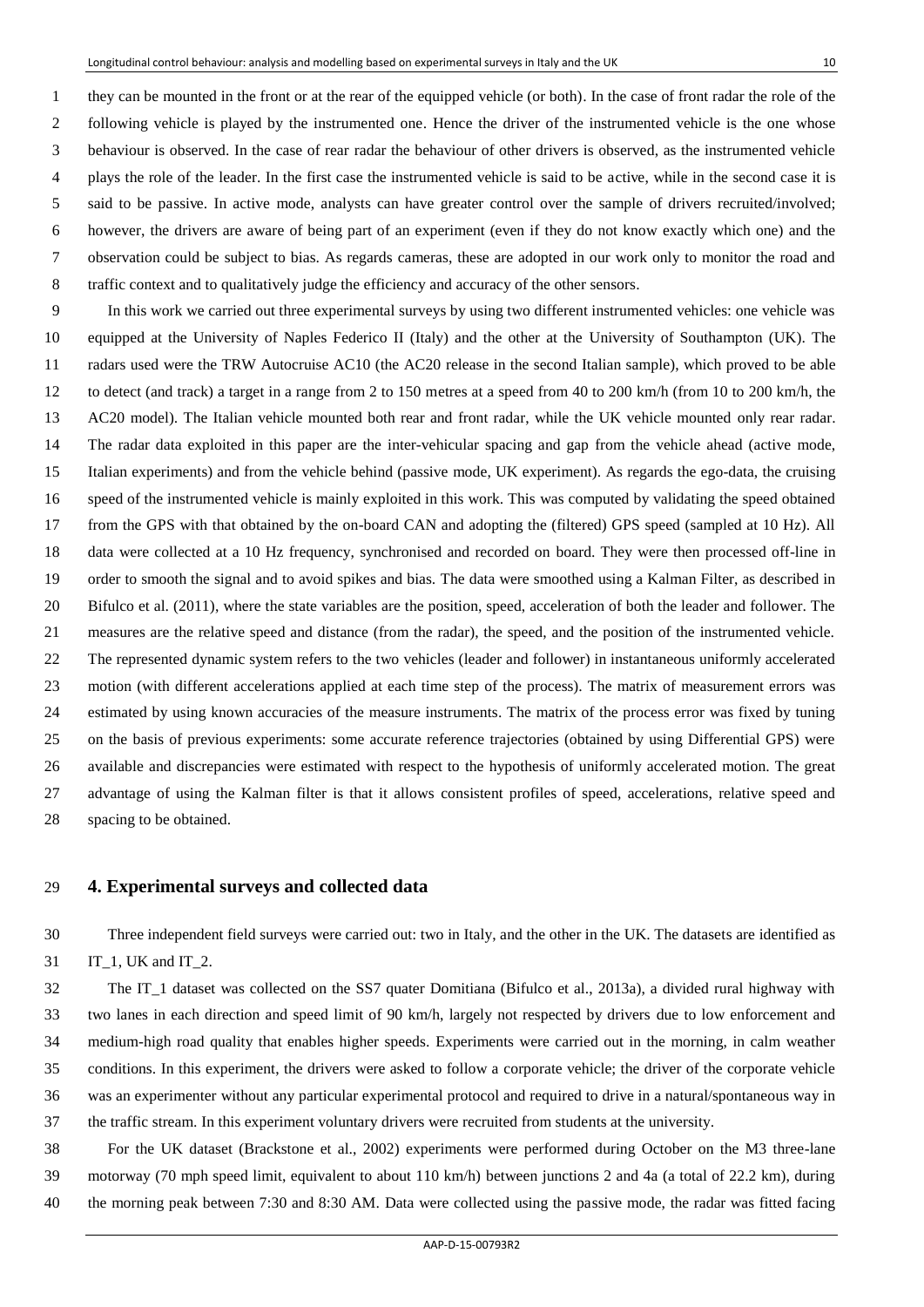1 they can be mounted in the front or at the rear of the equipped vehicle (or both). In the case of front radar the role of the 2 following vehicle is played by the instrumented one. Hence the driver of the instrumented vehicle is the one whose 3 behaviour is observed. In the case of rear radar the behaviour of other drivers is observed, as the instrumented vehicle 4 plays the role of the leader. In the first case the instrumented vehicle is said to be active, while in the second case it is 5 said to be passive. In active mode, analysts can have greater control over the sample of drivers recruited/involved; 6 however, the drivers are aware of being part of an experiment (even if they do not know exactly which one) and the 7 observation could be subject to bias. As regards cameras, these are adopted in our work only to monitor the road and 8 traffic context and to qualitatively judge the efficiency and accuracy of the other sensors.

9 In this work we carried out three experimental surveys by using two different instrumented vehicles: one vehicle was equipped at the University of Naples Federico II (Italy) and the other at the University of Southampton (UK). The radars used were the TRW Autocruise AC10 (the AC20 release in the second Italian sample), which proved to be able to detect (and track) a target in a range from 2 to 150 metres at a speed from 40 to 200 km/h (from 10 to 200 km/h, the AC20 model). The Italian vehicle mounted both rear and front radar, while the UK vehicle mounted only rear radar. The radar data exploited in this paper are the inter-vehicular spacing and gap from the vehicle ahead (active mode, Italian experiments) and from the vehicle behind (passive mode, UK experiment). As regards the ego-data, the cruising speed of the instrumented vehicle is mainly exploited in this work. This was computed by validating the speed obtained from the GPS with that obtained by the on-board CAN and adopting the (filtered) GPS speed (sampled at 10 Hz). All data were collected at a 10 Hz frequency, synchronised and recorded on board. They were then processed off-line in order to smooth the signal and to avoid spikes and bias. The data were smoothed using a Kalman Filter, as described in Bifulco et al. (2011), where the state variables are the position, speed, acceleration of both the leader and follower. The measures are the relative speed and distance (from the radar), the speed, and the position of the instrumented vehicle. The represented dynamic system refers to the two vehicles (leader and follower) in instantaneous uniformly accelerated motion (with different accelerations applied at each time step of the process). The matrix of measurement errors was estimated by using known accuracies of the measure instruments. The matrix of the process error was fixed by tuning on the basis of previous experiments: some accurate reference trajectories (obtained by using Differential GPS) were available and discrepancies were estimated with respect to the hypothesis of uniformly accelerated motion. The great advantage of using the Kalman filter is that it allows consistent profiles of speed, accelerations, relative speed and spacing to be obtained.

#### **4. Experimental surveys and collected data**

 Three independent field surveys were carried out: two in Italy, and the other in the UK. The datasets are identified as 31 IT 1, UK and IT 2.

 The IT\_1 dataset was collected on the SS7 quater Domitiana (Bifulco et al., 2013a), a divided rural highway with two lanes in each direction and speed limit of 90 km/h, largely not respected by drivers due to low enforcement and medium-high road quality that enables higher speeds. Experiments were carried out in the morning, in calm weather conditions. In this experiment, the drivers were asked to follow a corporate vehicle; the driver of the corporate vehicle was an experimenter without any particular experimental protocol and required to drive in a natural/spontaneous way in the traffic stream. In this experiment voluntary drivers were recruited from students at the university.

 For the UK dataset (Brackstone et al., 2002) experiments were performed during October on the M3 three-lane motorway (70 mph speed limit, equivalent to about 110 km/h) between junctions 2 and 4a (a total of 22.2 km), during the morning peak between 7:30 and 8:30 AM. Data were collected using the passive mode, the radar was fitted facing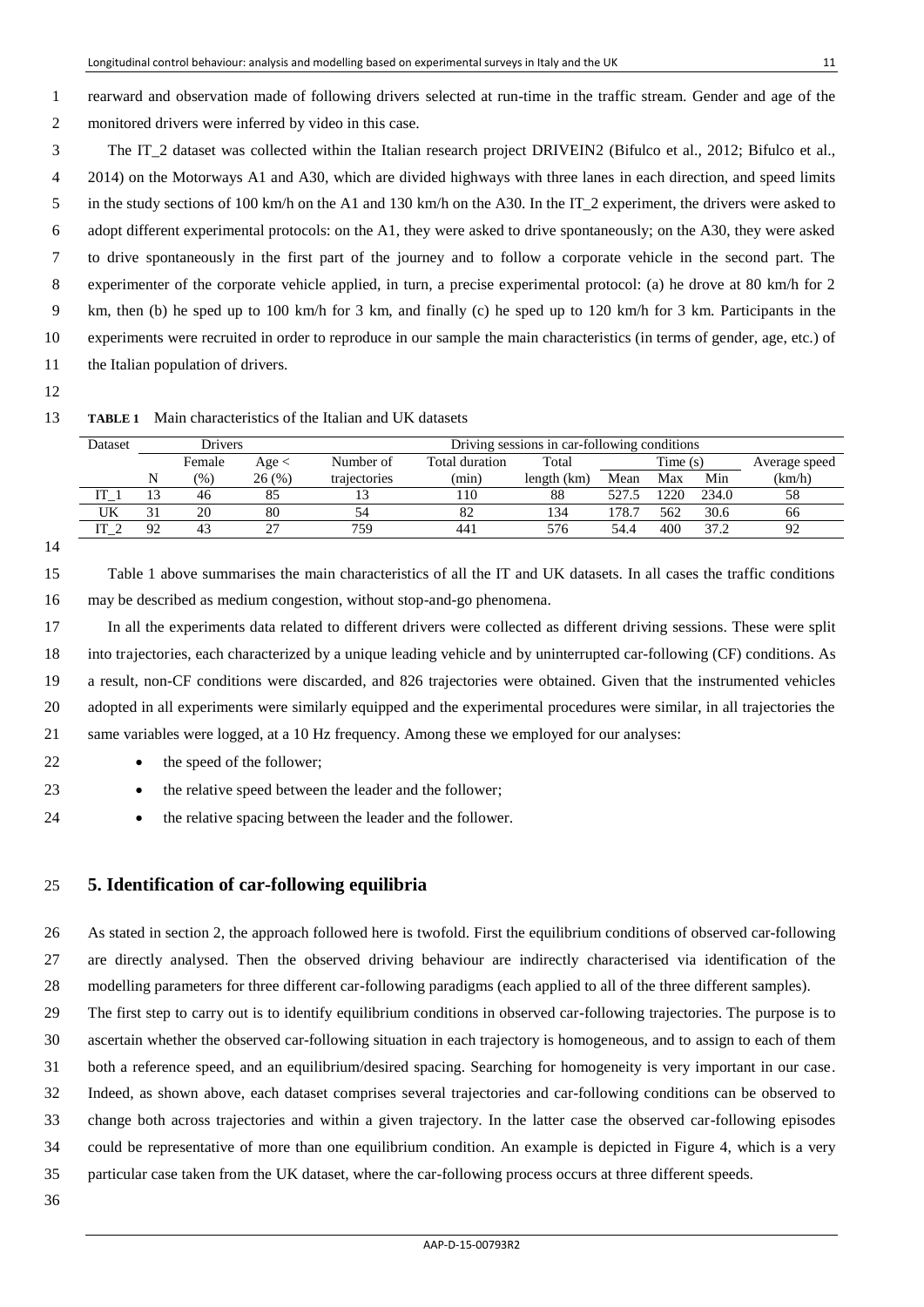1 rearward and observation made of following drivers selected at run-time in the traffic stream. Gender and age of the 2 monitored drivers were inferred by video in this case.

3 The IT\_2 dataset was collected within the Italian research project DRIVEIN2 (Bifulco et al., 2012; Bifulco et al., 4 2014) on the Motorways A1 and A30, which are divided highways with three lanes in each direction, and speed limits 5 in the study sections of 100 km/h on the A1 and 130 km/h on the A30. In the IT 2 experiment, the drivers were asked to 6 adopt different experimental protocols: on the A1, they were asked to drive spontaneously; on the A30, they were asked 7 to drive spontaneously in the first part of the journey and to follow a corporate vehicle in the second part. The 8 experimenter of the corporate vehicle applied, in turn, a precise experimental protocol: (a) he drove at 80 km/h for 2 9 km, then (b) he sped up to 100 km/h for 3 km, and finally (c) he sped up to 120 km/h for 3 km. Participants in the 10 experiments were recruited in order to reproduce in our sample the main characteristics (in terms of gender, age, etc.) of 11 the Italian population of drivers.

12

| 13 |  | <b>TABLE 1</b> Main characteristics of the Italian and UK datasets |  |  |
|----|--|--------------------------------------------------------------------|--|--|
|    |  |                                                                    |  |  |

| Dataset         |                         | Drivers |              | Driving sessions in car-following conditions |             |      |         |     |               |    |  |
|-----------------|-------------------------|---------|--------------|----------------------------------------------|-------------|------|---------|-----|---------------|----|--|
|                 | Female<br>Age <         |         | Number of    | Total duration                               | Total       |      | Time(s) |     | Average speed |    |  |
|                 | 26 (%)<br>$\frac{9}{0}$ |         | trajectories | (min)                                        | length (km) | Mean | Max     | Min | (km/h)        |    |  |
| IT :            |                         | 46      | 85           |                                              | 110         | 88   |         | 220 | 234.0         | 58 |  |
| UK              | 31                      | 20      | 80           | 54                                           | 82          | 134  | 78.7    | 562 | 30.6          | 66 |  |
| IT <sub>2</sub> | 92                      | 43      | $\sim$       | 759                                          | 441         | 576  | 54.4    | 400 | 37.2          | 92 |  |
|                 |                         |         |              |                                              |             |      |         |     |               |    |  |

#### 14

15 Table 1 above summarises the main characteristics of all the IT and UK datasets. In all cases the traffic conditions 16 may be described as medium congestion, without stop-and-go phenomena.

 In all the experiments data related to different drivers were collected as different driving sessions. These were split into trajectories, each characterized by a unique leading vehicle and by uninterrupted car-following (CF) conditions. As a result, non-CF conditions were discarded, and 826 trajectories were obtained. Given that the instrumented vehicles adopted in all experiments were similarly equipped and the experimental procedures were similar, in all trajectories the same variables were logged, at a 10 Hz frequency. Among these we employed for our analyses:

22 **the speed of the follower:** 

23 **the relative speed between the leader and the follower;** 

24 **the relative spacing between the leader and the follower.** 

## 25 **5. Identification of car-following equilibria**

26 As stated in section 2, the approach followed here is twofold. First the equilibrium conditions of observed car-following 27 are directly analysed. Then the observed driving behaviour are indirectly characterised via identification of the 28 modelling parameters for three different car-following paradigms (each applied to all of the three different samples).

29 The first step to carry out is to identify equilibrium conditions in observed car-following trajectories. The purpose is to 30 ascertain whether the observed car-following situation in each trajectory is homogeneous, and to assign to each of them

31 both a reference speed, and an equilibrium/desired spacing. Searching for homogeneity is very important in our case.

32 Indeed, as shown above, each dataset comprises several trajectories and car-following conditions can be observed to

33 change both across trajectories and within a given trajectory. In the latter case the observed car-following episodes

34 could be representative of more than one equilibrium condition. An example is depicted in Figure 4, which is a very 35 particular case taken from the UK dataset, where the car-following process occurs at three different speeds.

36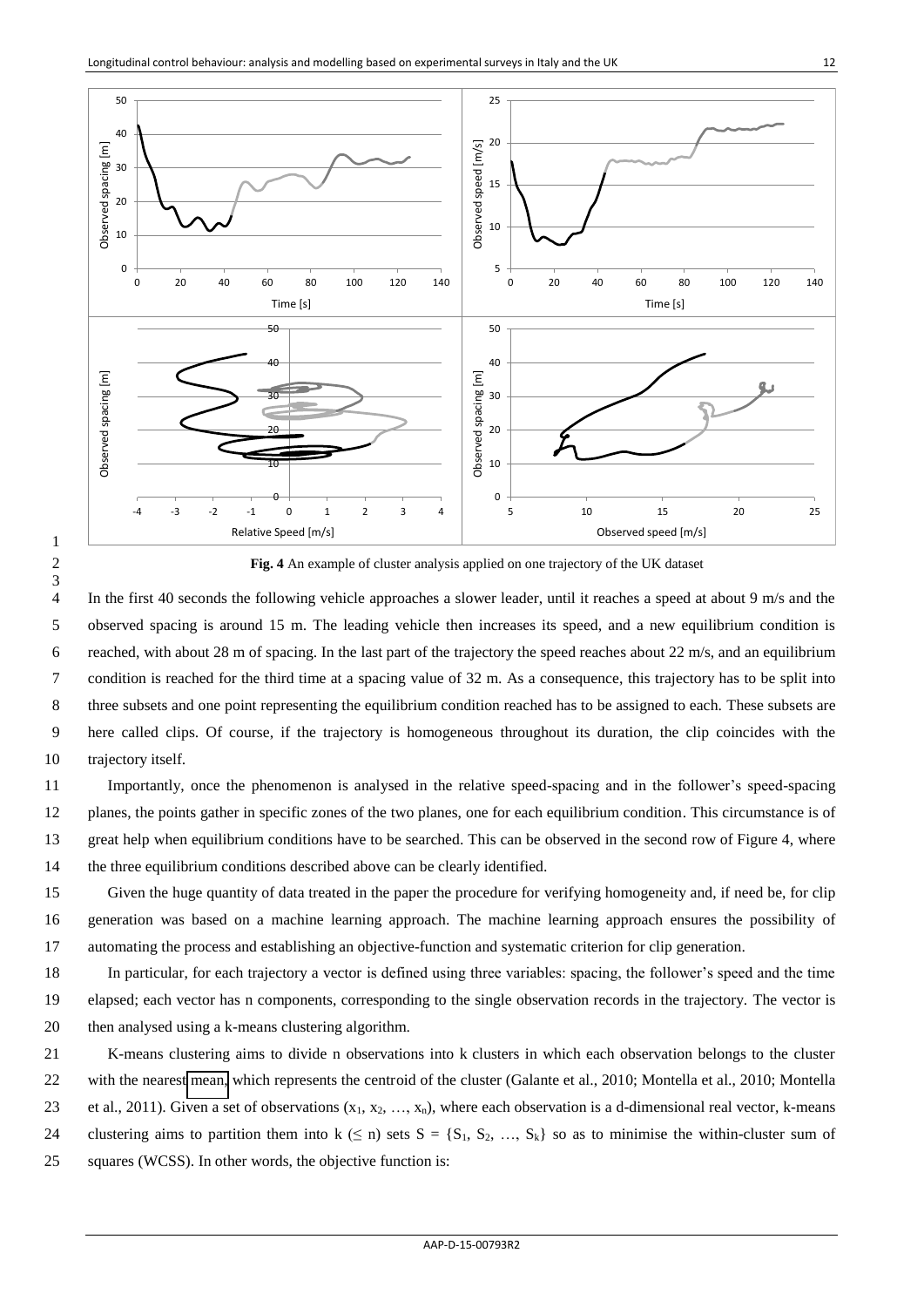

**Fig. 4** An example of cluster analysis applied on one trajectory of the UK dataset

4 In the first 40 seconds the following vehicle approaches a slower leader, until it reaches a speed at about 9 m/s and the 5 observed spacing is around 15 m. The leading vehicle then increases its speed, and a new equilibrium condition is 6 reached, with about 28 m of spacing. In the last part of the trajectory the speed reaches about 22 m/s, and an equilibrium 7 condition is reached for the third time at a spacing value of 32 m. As a consequence, this trajectory has to be split into 8 three subsets and one point representing the equilibrium condition reached has to be assigned to each. These subsets are 9 here called clips. Of course, if the trajectory is homogeneous throughout its duration, the clip coincides with the trajectory itself.

 Importantly, once the phenomenon is analysed in the relative speed-spacing and in the follower's speed-spacing planes, the points gather in specific zones of the two planes, one for each equilibrium condition. This circumstance is of great help when equilibrium conditions have to be searched. This can be observed in the second row of Figure 4, where the three equilibrium conditions described above can be clearly identified.

 Given the huge quantity of data treated in the paper the procedure for verifying homogeneity and, if need be, for clip generation was based on a machine learning approach. The machine learning approach ensures the possibility of automating the process and establishing an objective-function and systematic criterion for clip generation.

 In particular, for each trajectory a vector is defined using three variables: spacing, the follower's speed and the time elapsed; each vector has n components, corresponding to the single observation records in the trajectory. The vector is then analysed using a k-means clustering algorithm.

 K-means clustering aims to divide n observations into k clusters in which each observation belongs to the cluster with the nearest [mean,](http://en.wikipedia.org/wiki/Mean) which represents the centroid of the cluster (Galante et al., 2010; Montella et al., 2010; Montella 23 et al., 2011). Given a set of observations  $(x_1, x_2, ..., x_n)$ , where each observation is a d-dimensional real vector, k-means 24 clustering aims to partition them into  $k \le n$ ) sets  $S = \{S_1, S_2, ..., S_k\}$  so as to minimise the within-cluster sum of squares (WCSS). In other words, the objective function is: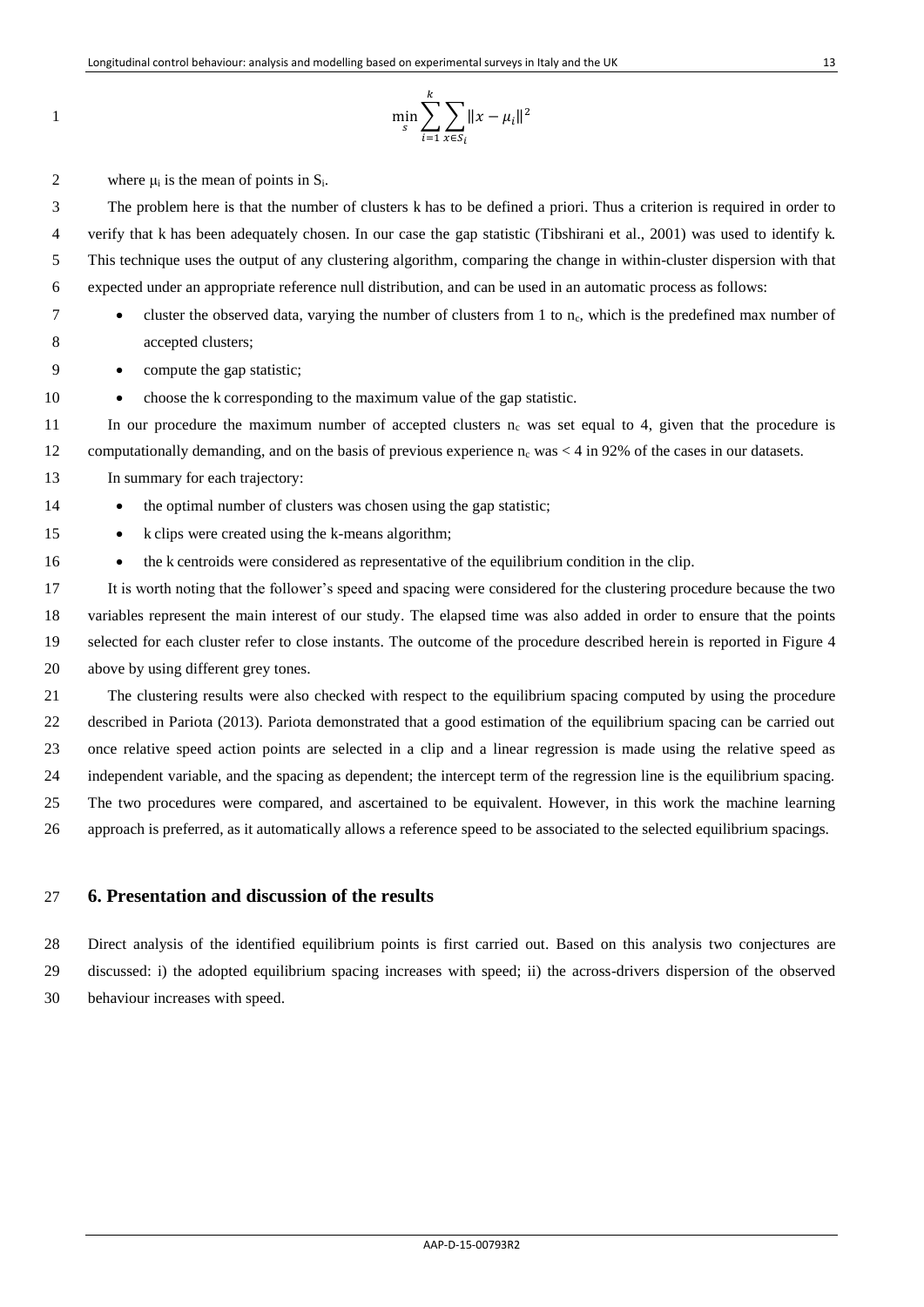$$
\min_{s} \sum_{i=1}^{k} \sum_{x \in S_i} ||x - \mu_i||^2
$$

2 where  $\mu_i$  is the mean of points in  $S_i$ .

3 The problem here is that the number of clusters k has to be defined a priori. Thus a criterion is required in order to 4 verify that k has been adequately chosen. In our case the gap statistic (Tibshirani et al., 2001) was used to identify k. 5 This technique uses the output of any clustering algorithm, comparing the change in within-cluster dispersion with that 6 expected under an appropriate reference null distribution, and can be used in an automatic process as follows:

1

7 eluster the observed data, varying the number of clusters from 1 to  $n_c$ , which is the predefined max number of 8 accepted clusters;

9 compute the gap statistic;

10 • choose the k corresponding to the maximum value of the gap statistic.

11 In our procedure the maximum number of accepted clusters  $n_c$  was set equal to 4, given that the procedure is 12 computationally demanding, and on the basis of previous experience  $n_c$  was  $\lt 4$  in 92% of the cases in our datasets.

13 In summary for each trajectory:

14 **the optimal number of clusters was chosen using the gap statistic;** 

- 15 k clips were created using the k-means algorithm;
- 16 **the k centroids were considered as representative of the equilibrium condition in the clip.**

 It is worth noting that the follower's speed and spacing were considered for the clustering procedure because the two variables represent the main interest of our study. The elapsed time was also added in order to ensure that the points selected for each cluster refer to close instants. The outcome of the procedure described herein is reported in Figure 4 above by using different grey tones.

 The clustering results were also checked with respect to the equilibrium spacing computed by using the procedure described in Pariota (2013). Pariota demonstrated that a good estimation of the equilibrium spacing can be carried out once relative speed action points are selected in a clip and a linear regression is made using the relative speed as independent variable, and the spacing as dependent; the intercept term of the regression line is the equilibrium spacing. The two procedures were compared, and ascertained to be equivalent. However, in this work the machine learning approach is preferred, as it automatically allows a reference speed to be associated to the selected equilibrium spacings.

# 27 **6. Presentation and discussion of the results**

28 Direct analysis of the identified equilibrium points is first carried out. Based on this analysis two conjectures are 29 discussed: i) the adopted equilibrium spacing increases with speed; ii) the across-drivers dispersion of the observed 30 behaviour increases with speed.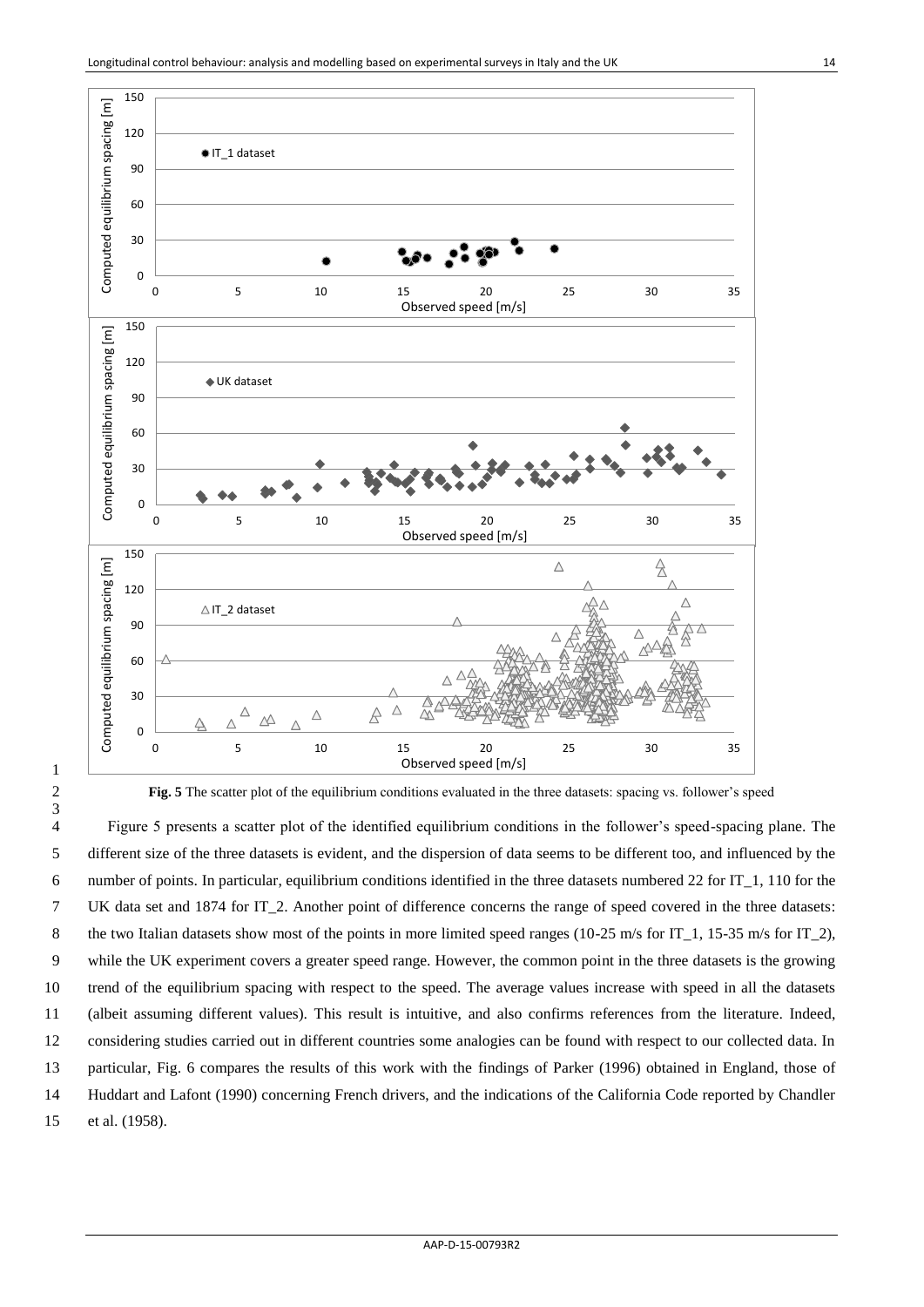

2 **Fig. 5** The scatter plot of the equilibrium conditions evaluated in the three datasets: spacing vs. follower's speed

1

3

4 Figure 5 presents a scatter plot of the identified equilibrium conditions in the follower's speed-spacing plane. The 5 different size of the three datasets is evident, and the dispersion of data seems to be different too, and influenced by the 6 number of points. In particular, equilibrium conditions identified in the three datasets numbered 22 for IT\_1, 110 for the 7 UK data set and 1874 for IT\_2. Another point of difference concerns the range of speed covered in the three datasets: 8 the two Italian datasets show most of the points in more limited speed ranges (10-25 m/s for IT\_1, 15-35 m/s for IT\_2), 9 while the UK experiment covers a greater speed range. However, the common point in the three datasets is the growing 10 trend of the equilibrium spacing with respect to the speed. The average values increase with speed in all the datasets 11 (albeit assuming different values). This result is intuitive, and also confirms references from the literature. Indeed, 12 considering studies carried out in different countries some analogies can be found with respect to our collected data. In 13 particular, Fig. 6 compares the results of this work with the findings of Parker (1996) obtained in England, those of 14 Huddart and Lafont (1990) concerning French drivers, and the indications of the California Code reported by Chandler 15 et al. (1958).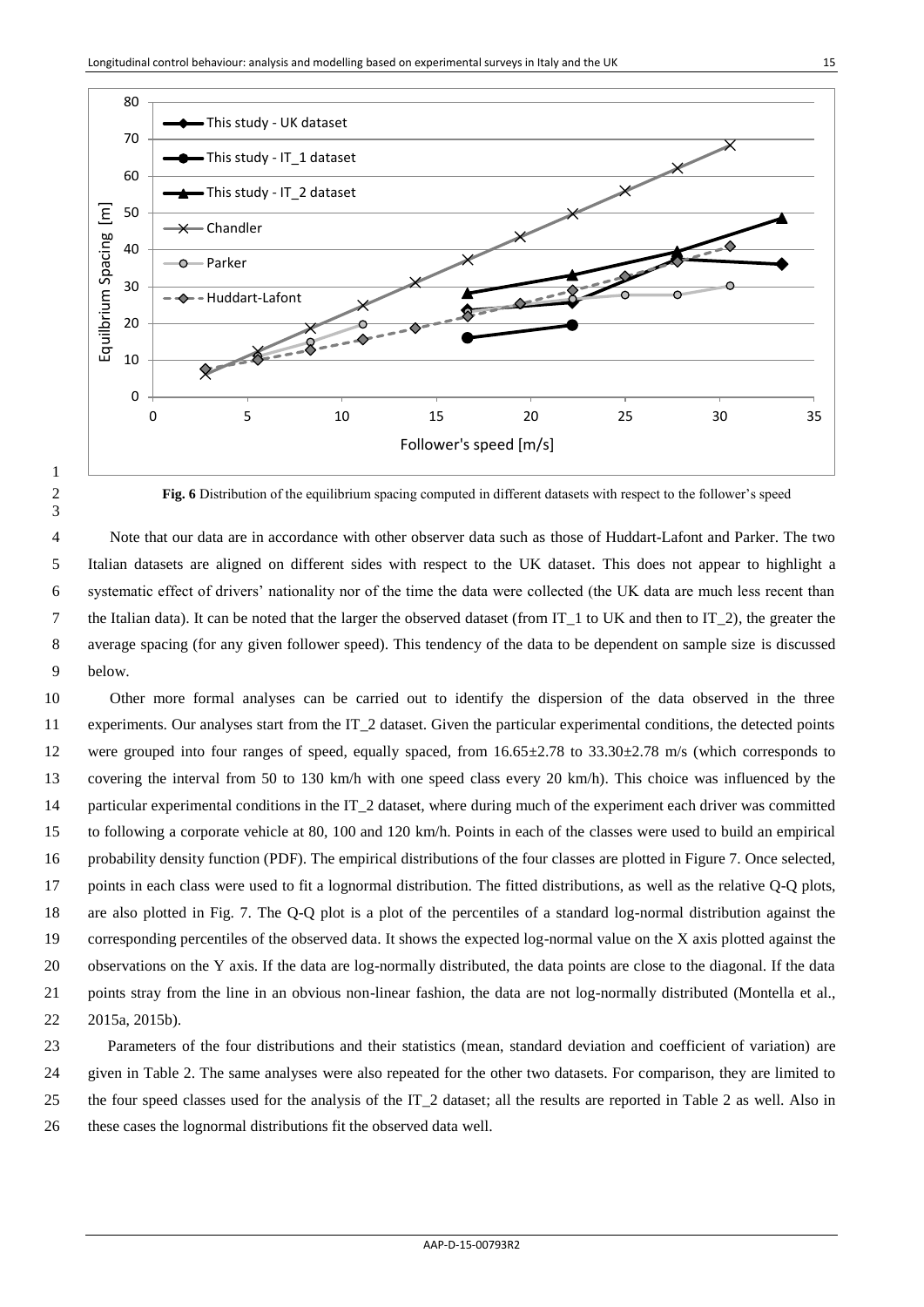

**Fig. 6** Distribution of the equilibrium spacing computed in different datasets with respect to the follower's speed

4 Note that our data are in accordance with other observer data such as those of Huddart-Lafont and Parker. The two 5 Italian datasets are aligned on different sides with respect to the UK dataset. This does not appear to highlight a systematic effect of drivers' nationality nor of the time the data were collected (the UK data are much less recent than 7 the Italian data). It can be noted that the larger the observed dataset (from IT 1 to UK and then to IT 2), the greater the 8 average spacing (for any given follower speed). This tendency of the data to be dependent on sample size is discussed 9 below. Other more formal analyses can be carried out to identify the dispersion of the data observed in the three

 experiments. Our analyses start from the IT\_2 dataset. Given the particular experimental conditions, the detected points 12 were grouped into four ranges of speed, equally spaced, from  $16.65\pm2.78$  to  $33.30\pm2.78$  m/s (which corresponds to covering the interval from 50 to 130 km/h with one speed class every 20 km/h). This choice was influenced by the particular experimental conditions in the IT\_2 dataset, where during much of the experiment each driver was committed to following a corporate vehicle at 80, 100 and 120 km/h. Points in each of the classes were used to build an empirical probability density function (PDF). The empirical distributions of the four classes are plotted in Figure 7. Once selected, points in each class were used to fit a lognormal distribution. The fitted distributions, as well as the relative Q-Q plots, are also plotted in Fig. 7. The Q-Q plot is a plot of the percentiles of a standard log-normal distribution against the corresponding percentiles of the observed data. It shows the expected log-normal value on the X axis plotted against the observations on the Y axis. If the data are log-normally distributed, the data points are close to the diagonal. If the data points stray from the line in an obvious non-linear fashion, the data are not log-normally distributed (Montella et al., 2015a, 2015b).

 Parameters of the four distributions and their statistics (mean, standard deviation and coefficient of variation) are given in Table 2. The same analyses were also repeated for the other two datasets. For comparison, they are limited to the four speed classes used for the analysis of the IT\_2 dataset; all the results are reported in Table 2 as well. Also in these cases the lognormal distributions fit the observed data well.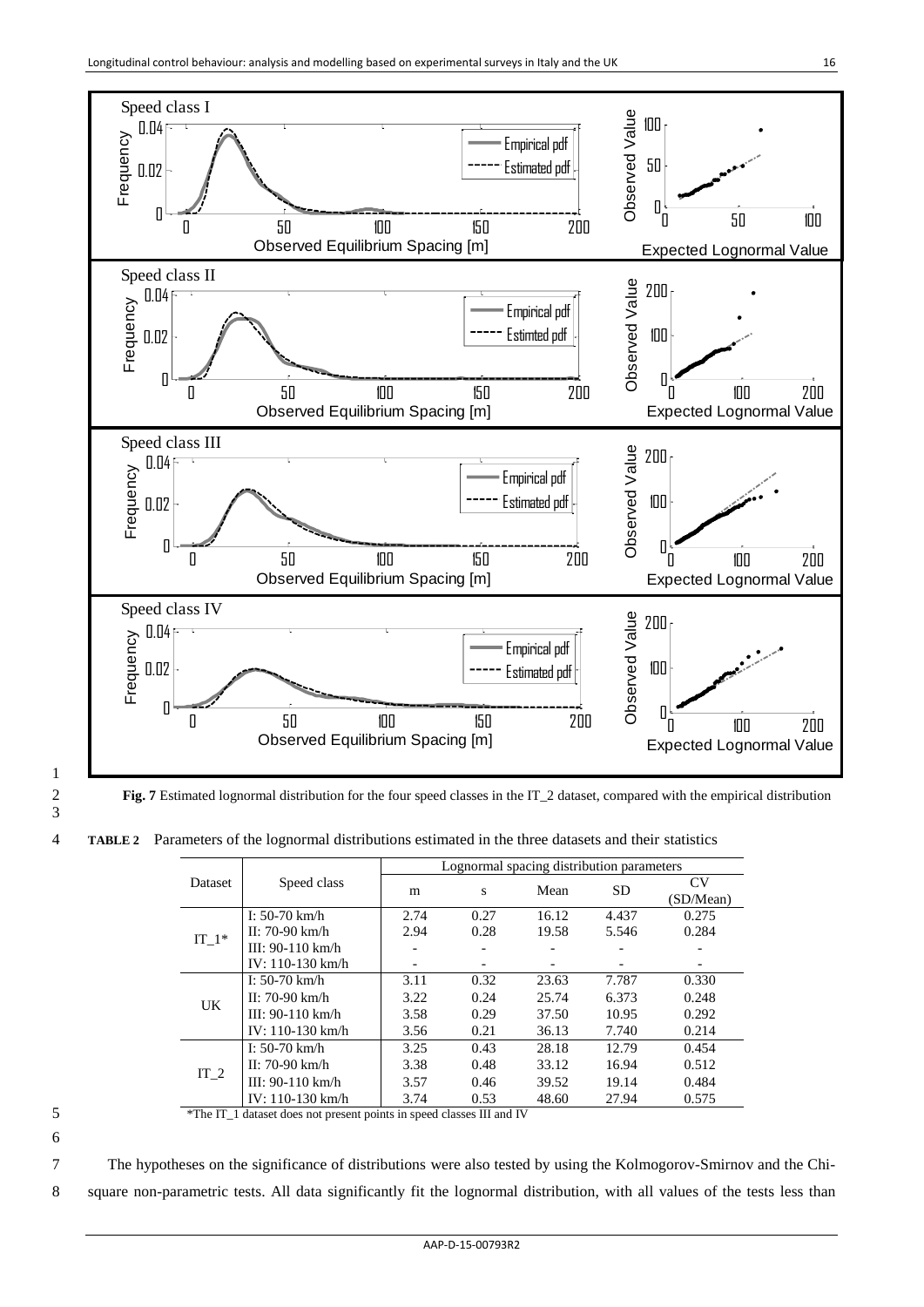

1 3

2 **Fig. 7** Estimated lognormal distribution for the four speed classes in the IT\_2 dataset, compared with the empirical distribution

4 **TABLE 2** Parameters of the lognormal distributions estimated in the three datasets and their statistics

|   |         |                                                                       | Lognormal spacing distribution parameters |      |       |       |                          |  |  |  |  |
|---|---------|-----------------------------------------------------------------------|-------------------------------------------|------|-------|-------|--------------------------|--|--|--|--|
|   | Dataset | Speed class                                                           | m                                         | S    | Mean  | SD.   | CV<br>(SD/Mean)          |  |  |  |  |
|   |         | I: $50-70$ km/h                                                       | 2.74                                      | 0.27 | 16.12 | 4.437 | 0.275                    |  |  |  |  |
|   |         | $II: 70-90$ km/h                                                      | 2.94                                      | 0.28 | 19.58 | 5.546 | 0.284                    |  |  |  |  |
|   | $IT_1*$ | III: $90-110 \text{ km/h}$                                            |                                           |      |       |       |                          |  |  |  |  |
|   |         | $IV: 110-130$ km/h                                                    |                                           | -    |       |       | $\overline{\phantom{a}}$ |  |  |  |  |
|   |         | I: $50-70$ km/h                                                       | 3.11                                      | 0.32 | 23.63 | 7.787 | 0.330                    |  |  |  |  |
|   |         | $II: 70-90$ km/h                                                      | 3.22                                      | 0.24 | 25.74 | 6.373 | 0.248                    |  |  |  |  |
|   | UK.     | III: $90-110 \text{ km/h}$                                            | 3.58                                      | 0.29 | 37.50 | 10.95 | 0.292                    |  |  |  |  |
|   |         | $IV: 110-130$ km/h                                                    | 3.56                                      | 0.21 | 36.13 | 7.740 | 0.214                    |  |  |  |  |
|   |         | I: $50-70$ km/h                                                       | 3.25                                      | 0.43 | 28.18 | 12.79 | 0.454                    |  |  |  |  |
|   |         | $II: 70-90$ km/h                                                      | 3.38                                      | 0.48 | 33.12 | 16.94 | 0.512                    |  |  |  |  |
|   | $IT_2$  | III: $90-110 \text{ km/h}$                                            | 3.57                                      | 0.46 | 39.52 | 19.14 | 0.484                    |  |  |  |  |
|   |         | IV: $110-130$ km/h                                                    | 3.74                                      | 0.53 | 48.60 | 27.94 | 0.575                    |  |  |  |  |
| 5 |         | *The IT_1 dataset does not present points in speed classes III and IV |                                           |      |       |       |                          |  |  |  |  |

6

7 The hypotheses on the significance of distributions were also tested by using the Kolmogorov-Smirnov and the Chi-

8 square non-parametric tests. All data significantly fit the lognormal distribution, with all values of the tests less than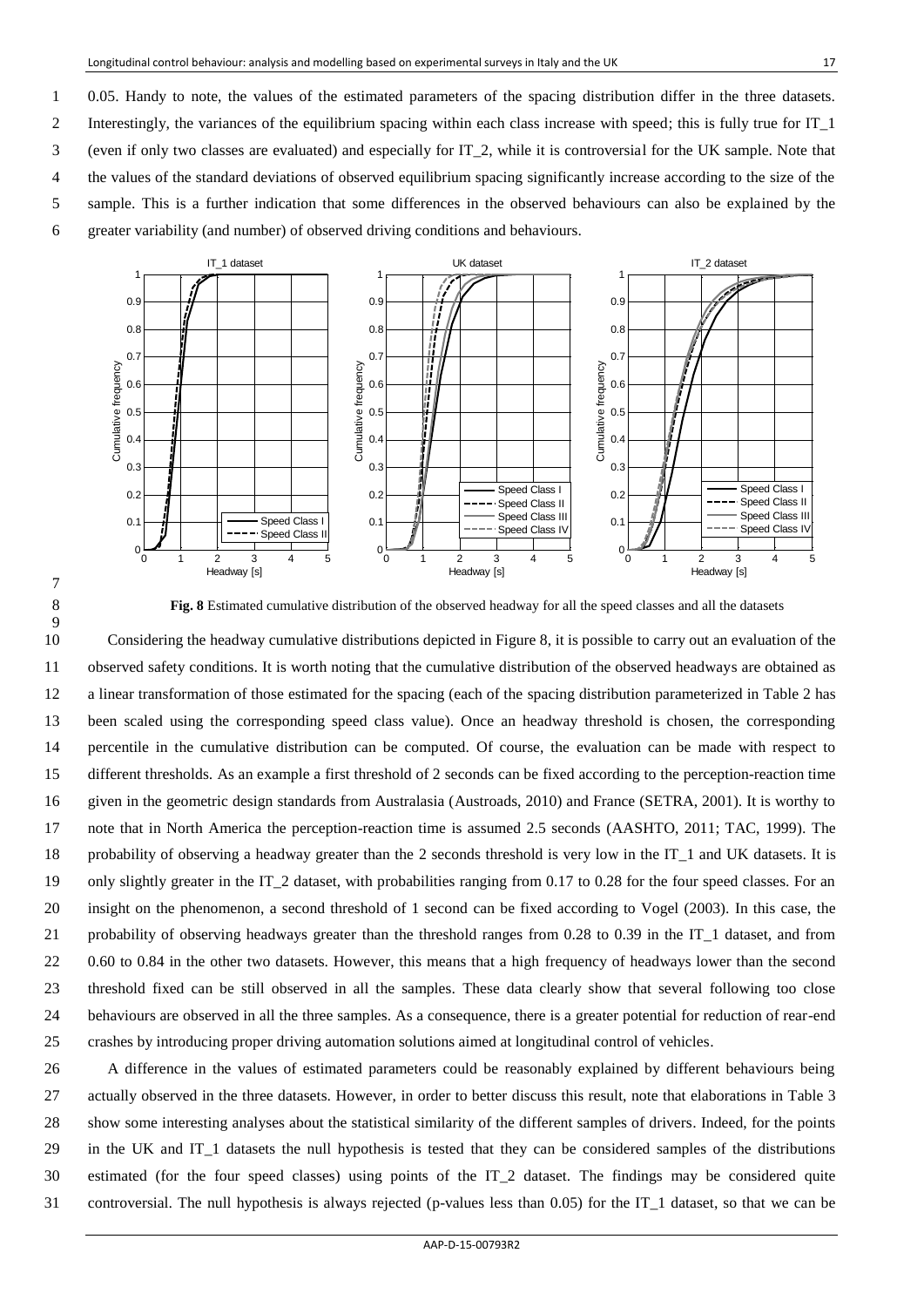1 0.05. Handy to note, the values of the estimated parameters of the spacing distribution differ in the three datasets. 2 Interestingly, the variances of the equilibrium spacing within each class increase with speed; this is fully true for IT\_1 3 (even if only two classes are evaluated) and especially for IT\_2, while it is controversial for the UK sample. Note that 4 the values of the standard deviations of observed equilibrium spacing significantly increase according to the size of the 5 sample. This is a further indication that some differences in the observed behaviours can also be explained by the 6 greater variability (and number) of observed driving conditions and behaviours.





8 **Fig. 8** Estimated cumulative distribution of the observed headway for all the speed classes and all the datasets

 Considering the headway cumulative distributions depicted in Figure 8, it is possible to carry out an evaluation of the observed safety conditions. It is worth noting that the cumulative distribution of the observed headways are obtained as a linear transformation of those estimated for the spacing (each of the spacing distribution parameterized in Table 2 has been scaled using the corresponding speed class value). Once an headway threshold is chosen, the corresponding percentile in the cumulative distribution can be computed. Of course, the evaluation can be made with respect to different thresholds. As an example a first threshold of 2 seconds can be fixed according to the perception-reaction time given in the geometric design standards from Australasia (Austroads, 2010) and France (SETRA, 2001). It is worthy to note that in North America the perception-reaction time is assumed 2.5 seconds (AASHTO, 2011; TAC, 1999). The probability of observing a headway greater than the 2 seconds threshold is very low in the IT\_1 and UK datasets. It is only slightly greater in the IT\_2 dataset, with probabilities ranging from 0.17 to 0.28 for the four speed classes. For an insight on the phenomenon, a second threshold of 1 second can be fixed according to Vogel (2003). In this case, the probability of observing headways greater than the threshold ranges from 0.28 to 0.39 in the IT\_1 dataset, and from 22 0.60 to 0.84 in the other two datasets. However, this means that a high frequency of headways lower than the second threshold fixed can be still observed in all the samples. These data clearly show that several following too close behaviours are observed in all the three samples. As a consequence, there is a greater potential for reduction of rear-end crashes by introducing proper driving automation solutions aimed at longitudinal control of vehicles.

 A difference in the values of estimated parameters could be reasonably explained by different behaviours being actually observed in the three datasets. However, in order to better discuss this result, note that elaborations in Table 3 show some interesting analyses about the statistical similarity of the different samples of drivers. Indeed, for the points in the UK and IT\_1 datasets the null hypothesis is tested that they can be considered samples of the distributions estimated (for the four speed classes) using points of the IT\_2 dataset. The findings may be considered quite controversial. The null hypothesis is always rejected (p-values less than 0.05) for the IT\_1 dataset, so that we can be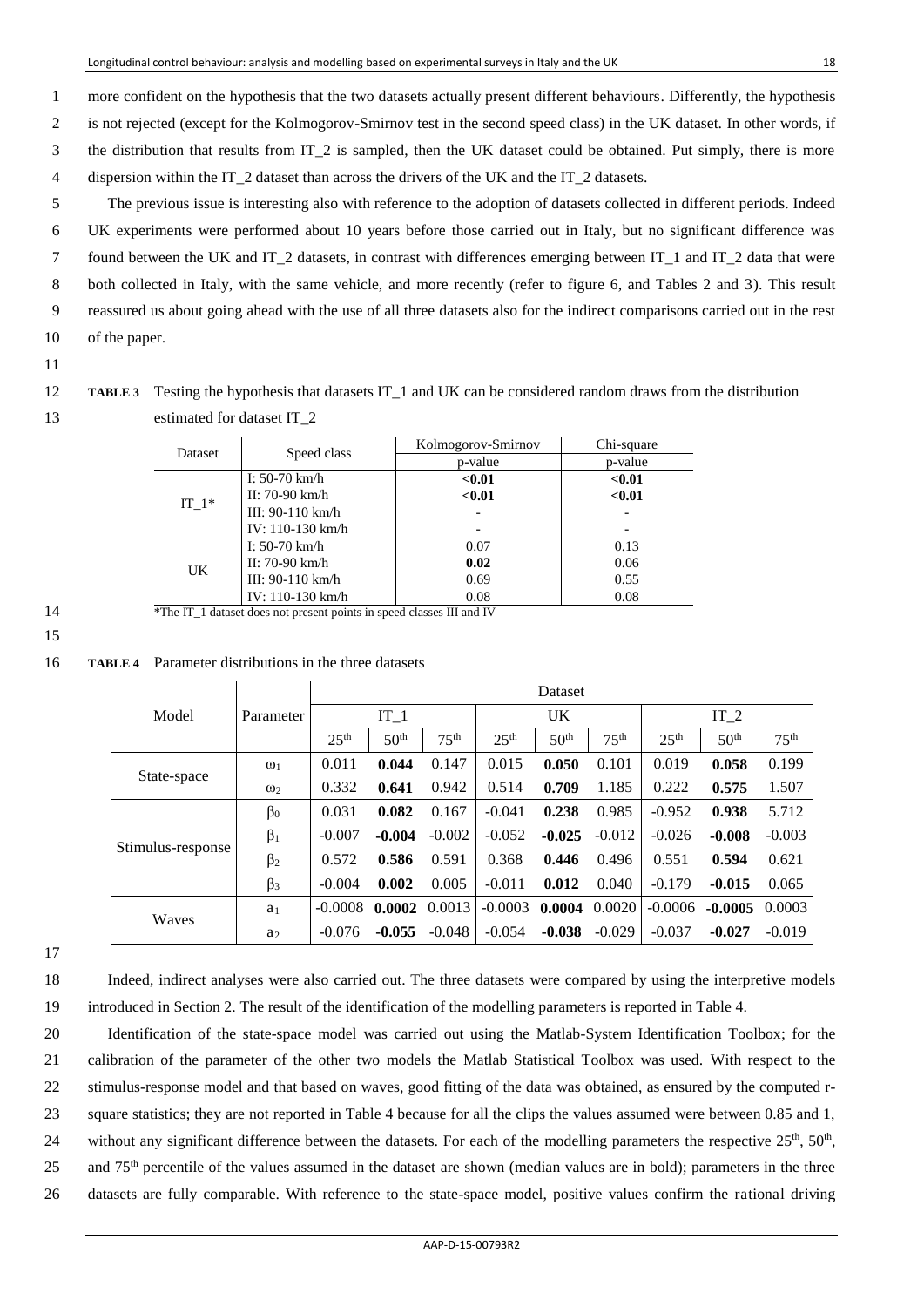1 more confident on the hypothesis that the two datasets actually present different behaviours. Differently, the hypothesis 2 is not rejected (except for the Kolmogorov-Smirnov test in the second speed class) in the UK dataset. In other words, if 3 the distribution that results from IT\_2 is sampled, then the UK dataset could be obtained. Put simply, there is more 4 dispersion within the IT\_2 dataset than across the drivers of the UK and the IT\_2 datasets.

5 The previous issue is interesting also with reference to the adoption of datasets collected in different periods. Indeed 6 UK experiments were performed about 10 years before those carried out in Italy, but no significant difference was 7 found between the UK and IT\_2 datasets, in contrast with differences emerging between IT\_1 and IT\_2 data that were 8 both collected in Italy, with the same vehicle, and more recently (refer to figure 6, and Tables 2 and 3). This result 9 reassured us about going ahead with the use of all three datasets also for the indirect comparisons carried out in the rest 10 of the paper.

11

12 **TABLE 3** Testing the hypothesis that datasets IT 1 and UK can be considered random draws from the distribution 13 estimated for dataset IT\_2

|    | Dataset | Speed class                                                           | Kolmogorov-Smirnov | Chi-square |  |
|----|---------|-----------------------------------------------------------------------|--------------------|------------|--|
|    |         |                                                                       | p-value            | p-value    |  |
|    |         | I: 50-70 km/h                                                         | < 0.01             | < 0.01     |  |
|    | IT $1*$ | II: 70-90 km/h                                                        | < 0.01             | < 0.01     |  |
|    |         | III: 90-110 $km/h$                                                    |                    |            |  |
|    |         | IV: 110-130 km/h                                                      |                    |            |  |
|    | UK      | I: 50-70 km/h                                                         | 0.07               | 0.13       |  |
|    |         | II: 70-90 km/h                                                        | 0.02               | 0.06       |  |
|    |         | III: $90-110 \text{ km/h}$                                            | 0.69               | 0.55       |  |
|    |         | IV: 110-130 km/h                                                      | 0.08               | 0.08       |  |
| 14 |         | *The IT_1 dataset does not present points in speed classes III and IV |                    |            |  |

# 15

16 **TABLE 4** Parameter distributions in the three datasets

|                   |                | Dataset          |                  |                  |                  |                  |                  |                  |                  |                  |  |
|-------------------|----------------|------------------|------------------|------------------|------------------|------------------|------------------|------------------|------------------|------------------|--|
| Model             | Parameter      | $IT_1$           |                  |                  | UK               |                  |                  | IT $2$           |                  |                  |  |
|                   |                | 25 <sup>th</sup> | 50 <sup>th</sup> | 75 <sup>th</sup> | 25 <sup>th</sup> | 50 <sup>th</sup> | 75 <sup>th</sup> | 25 <sup>th</sup> | 50 <sup>th</sup> | 75 <sup>th</sup> |  |
|                   | $\omega_1$     | 0.011            | 0.044            | 0.147            | 0.015            | 0.050            | 0.101            | 0.019            | 0.058            | 0.199            |  |
| State-space       | $\omega_2$     | 0.332            | 0.641            | 0.942            | 0.514            | 0.709            | 1.185            | 0.222            | 0.575            | 1.507            |  |
|                   | $\beta_0$      | 0.031            | 0.082            | 0.167            | $-0.041$         | 0.238            | 0.985            | $-0.952$         | 0.938            | 5.712            |  |
|                   | $\beta_1$      | $-0.007$         | $-0.004$         | $-0.002$         | $-0.052$         | $-0.025$         | $-0.012$         | $-0.026$         | $-0.008$         | $-0.003$         |  |
| Stimulus-response | $\beta_2$      | 0.572            | 0.586            | 0.591            | 0.368            | 0.446            | 0.496            | 0.551            | 0.594            | 0.621            |  |
|                   | $\beta_3$      | $-0.004$         | 0.002            | 0.005            | $-0.011$         | 0.012            | 0.040            | $-0.179$         | $-0.015$         | 0.065            |  |
| Waves             | a <sub>1</sub> | $-0.0008$        | 0.0002           | 0.0013           | $-0.0003$        | 0.0004           | 0.0020           | $-0.0006$        | $-0.0005$        | 0.0003           |  |
|                   | a <sub>2</sub> | $-0.076$         | $-0.055$         | $-0.048$         | $-0.054$         | $-0.038$         | $-0.029$         | $-0.037$         | $-0.027$         | $-0.019$         |  |

17

18 Indeed, indirect analyses were also carried out. The three datasets were compared by using the interpretive models 19 introduced in Section 2. The result of the identification of the modelling parameters is reported in Table 4.

 Identification of the state-space model was carried out using the Matlab-System Identification Toolbox; for the calibration of the parameter of the other two models the Matlab Statistical Toolbox was used. With respect to the stimulus-response model and that based on waves, good fitting of the data was obtained, as ensured by the computed r- square statistics; they are not reported in Table 4 because for all the clips the values assumed were between 0.85 and 1, 24 without any significant difference between the datasets. For each of the modelling parameters the respective  $25<sup>th</sup>$ ,  $50<sup>th</sup>$ , 25 and  $75<sup>th</sup>$  percentile of the values assumed in the dataset are shown (median values are in bold); parameters in the three datasets are fully comparable. With reference to the state-space model, positive values confirm the rational driving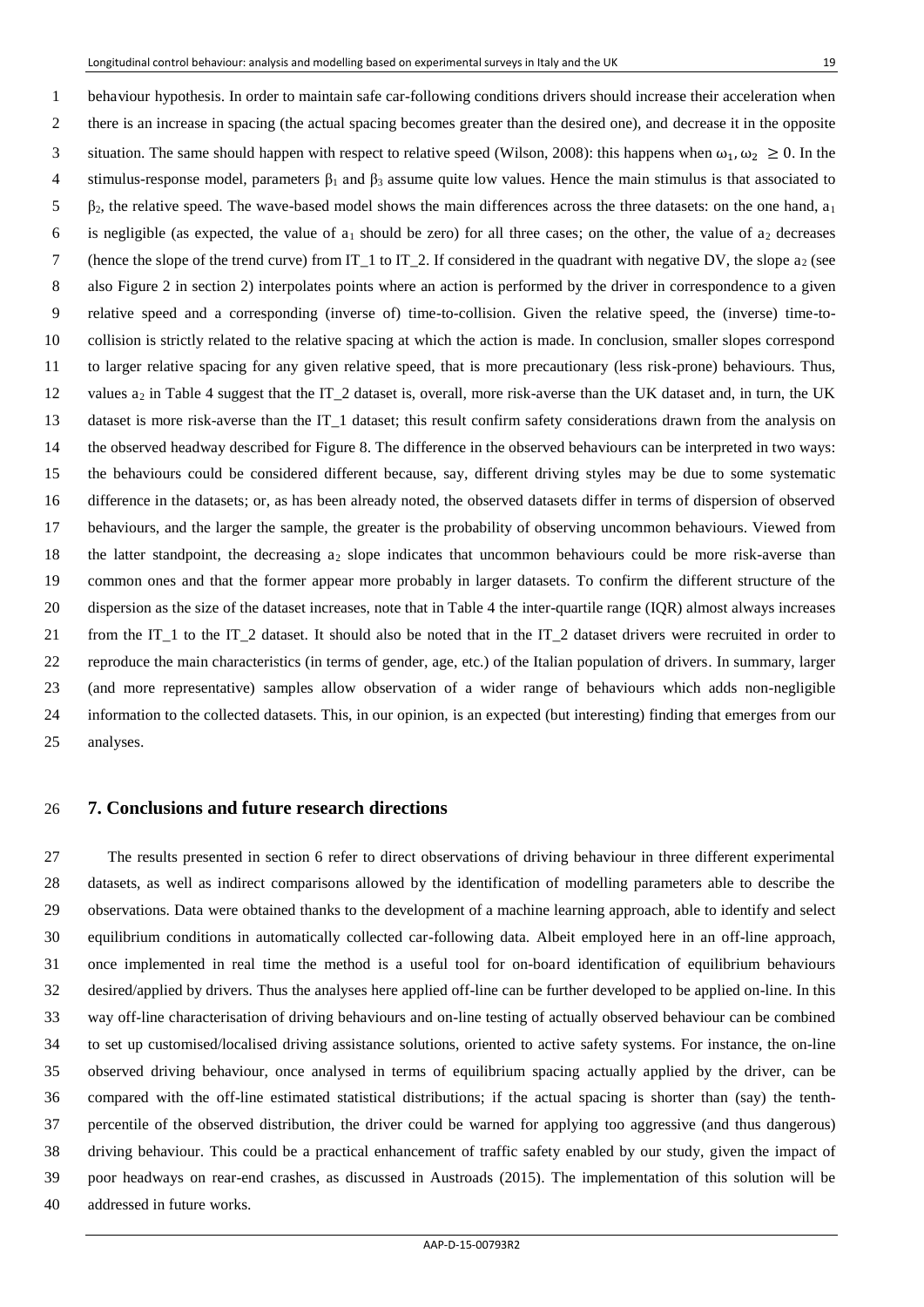1 behaviour hypothesis. In order to maintain safe car-following conditions drivers should increase their acceleration when 2 there is an increase in spacing (the actual spacing becomes greater than the desired one), and decrease it in the opposite situation. The same should happen with respect to relative speed (Wilson, 2008): this happens when  $\omega_1, \omega_2 \ge 0$ . In the 4 stimulus-response model, parameters  $\beta_1$  and  $\beta_3$  assume quite low values. Hence the main stimulus is that associated to  $5\beta_2$ , the relative speed. The wave-based model shows the main differences across the three datasets: on the one hand,  $a_1$ 6 is negligible (as expected, the value of  $a_1$  should be zero) for all three cases; on the other, the value of  $a_2$  decreases 7 (hence the slope of the trend curve) from IT<sub> $_1$ </sub> to IT<sub> $_2$ </sub>. If considered in the quadrant with negative DV, the slope  $a_2$  (see 8 also Figure 2 in section 2) interpolates points where an action is performed by the driver in correspondence to a given 9 relative speed and a corresponding (inverse of) time-to-collision. Given the relative speed, the (inverse) time-to- collision is strictly related to the relative spacing at which the action is made. In conclusion, smaller slopes correspond to larger relative spacing for any given relative speed, that is more precautionary (less risk-prone) behaviours. Thus, 12 values  $a_2$  in Table 4 suggest that the IT\_2 dataset is, overall, more risk-averse than the UK dataset and, in turn, the UK dataset is more risk-averse than the IT\_1 dataset; this result confirm safety considerations drawn from the analysis on the observed headway described for Figure 8. The difference in the observed behaviours can be interpreted in two ways: the behaviours could be considered different because, say, different driving styles may be due to some systematic difference in the datasets; or, as has been already noted, the observed datasets differ in terms of dispersion of observed behaviours, and the larger the sample, the greater is the probability of observing uncommon behaviours. Viewed from the latter standpoint, the decreasing a2 slope indicates that uncommon behaviours could be more risk-averse than common ones and that the former appear more probably in larger datasets. To confirm the different structure of the dispersion as the size of the dataset increases, note that in Table 4 the inter-quartile range (IQR) almost always increases from the IT\_1 to the IT\_2 dataset. It should also be noted that in the IT\_2 dataset drivers were recruited in order to reproduce the main characteristics (in terms of gender, age, etc.) of the Italian population of drivers. In summary, larger (and more representative) samples allow observation of a wider range of behaviours which adds non-negligible information to the collected datasets. This, in our opinion, is an expected (but interesting) finding that emerges from our analyses.

### **7. Conclusions and future research directions**

 The results presented in section 6 refer to direct observations of driving behaviour in three different experimental datasets, as well as indirect comparisons allowed by the identification of modelling parameters able to describe the observations. Data were obtained thanks to the development of a machine learning approach, able to identify and select equilibrium conditions in automatically collected car-following data. Albeit employed here in an off-line approach, once implemented in real time the method is a useful tool for on-board identification of equilibrium behaviours desired/applied by drivers. Thus the analyses here applied off-line can be further developed to be applied on-line. In this way off-line characterisation of driving behaviours and on-line testing of actually observed behaviour can be combined to set up customised/localised driving assistance solutions, oriented to active safety systems. For instance, the on-line observed driving behaviour, once analysed in terms of equilibrium spacing actually applied by the driver, can be compared with the off-line estimated statistical distributions; if the actual spacing is shorter than (say) the tenth- percentile of the observed distribution, the driver could be warned for applying too aggressive (and thus dangerous) driving behaviour. This could be a practical enhancement of traffic safety enabled by our study, given the impact of poor headways on rear-end crashes, as discussed in Austroads (2015). The implementation of this solution will be addressed in future works.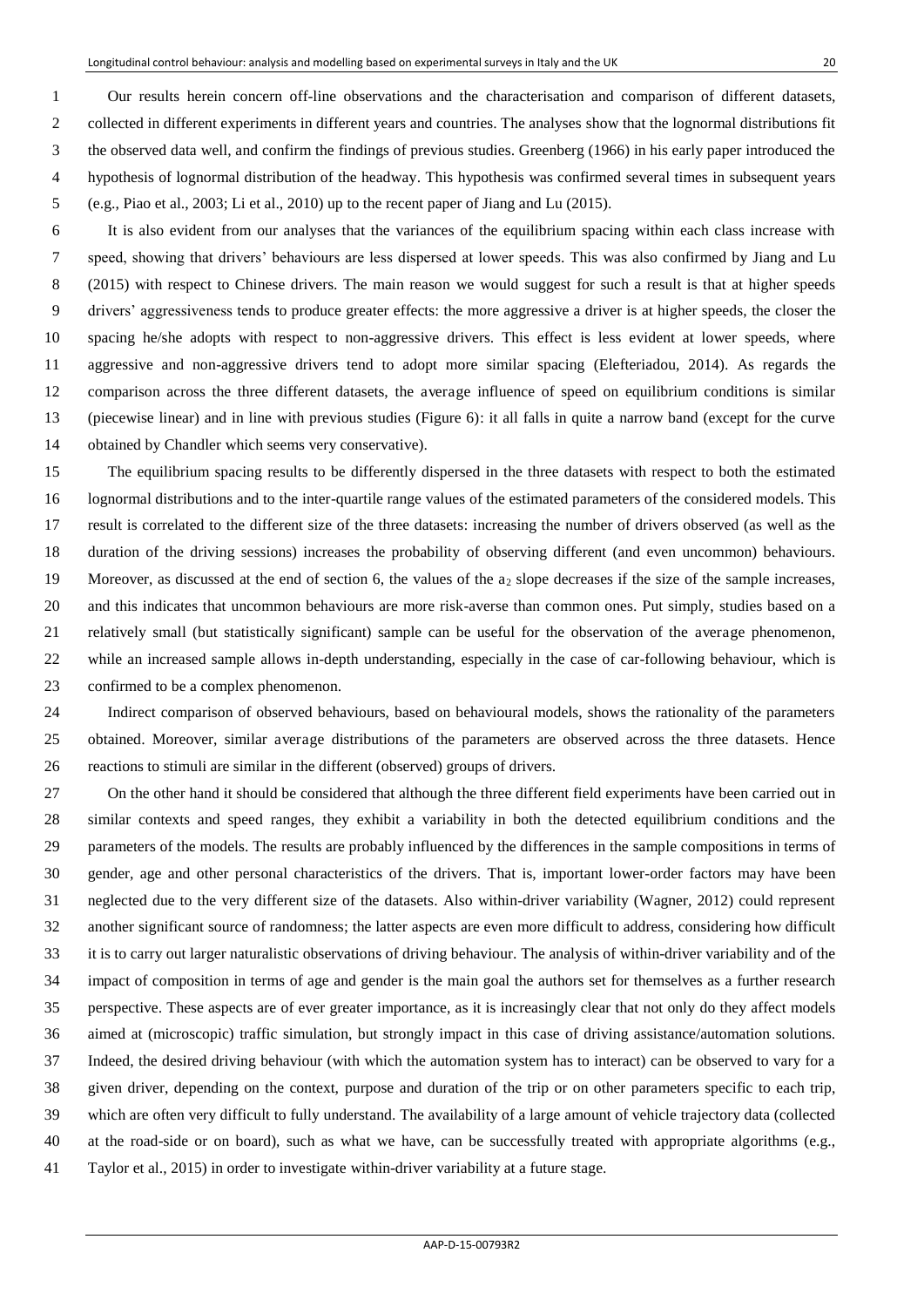1 Our results herein concern off-line observations and the characterisation and comparison of different datasets, 2 collected in different experiments in different years and countries. The analyses show that the lognormal distributions fit 3 the observed data well, and confirm the findings of previous studies. Greenberg (1966) in his early paper introduced the 4 hypothesis of lognormal distribution of the headway. This hypothesis was confirmed several times in subsequent years 5 (e.g., Piao et al., 2003; Li et al., 2010) up to the recent paper of Jiang and Lu (2015).

6 It is also evident from our analyses that the variances of the equilibrium spacing within each class increase with speed, showing that drivers' behaviours are less dispersed at lower speeds. This was also confirmed by Jiang and Lu 8 (2015) with respect to Chinese drivers. The main reason we would suggest for such a result is that at higher speeds drivers' aggressiveness tends to produce greater effects: the more aggressive a driver is at higher speeds, the closer the spacing he/she adopts with respect to non-aggressive drivers. This effect is less evident at lower speeds, where aggressive and non-aggressive drivers tend to adopt more similar spacing (Elefteriadou, 2014). As regards the comparison across the three different datasets, the average influence of speed on equilibrium conditions is similar (piecewise linear) and in line with previous studies (Figure 6): it all falls in quite a narrow band (except for the curve obtained by Chandler which seems very conservative).

 The equilibrium spacing results to be differently dispersed in the three datasets with respect to both the estimated lognormal distributions and to the inter-quartile range values of the estimated parameters of the considered models. This result is correlated to the different size of the three datasets: increasing the number of drivers observed (as well as the duration of the driving sessions) increases the probability of observing different (and even uncommon) behaviours. 19 Moreover, as discussed at the end of section 6, the values of the  $a_2$  slope decreases if the size of the sample increases, and this indicates that uncommon behaviours are more risk-averse than common ones. Put simply, studies based on a relatively small (but statistically significant) sample can be useful for the observation of the average phenomenon, while an increased sample allows in-depth understanding, especially in the case of car-following behaviour, which is confirmed to be a complex phenomenon.

 Indirect comparison of observed behaviours, based on behavioural models, shows the rationality of the parameters obtained. Moreover, similar average distributions of the parameters are observed across the three datasets. Hence reactions to stimuli are similar in the different (observed) groups of drivers.

 On the other hand it should be considered that although the three different field experiments have been carried out in similar contexts and speed ranges, they exhibit a variability in both the detected equilibrium conditions and the parameters of the models. The results are probably influenced by the differences in the sample compositions in terms of gender, age and other personal characteristics of the drivers. That is, important lower-order factors may have been neglected due to the very different size of the datasets. Also within-driver variability (Wagner, 2012) could represent another significant source of randomness; the latter aspects are even more difficult to address, considering how difficult it is to carry out larger naturalistic observations of driving behaviour. The analysis of within-driver variability and of the impact of composition in terms of age and gender is the main goal the authors set for themselves as a further research perspective. These aspects are of ever greater importance, as it is increasingly clear that not only do they affect models aimed at (microscopic) traffic simulation, but strongly impact in this case of driving assistance/automation solutions. Indeed, the desired driving behaviour (with which the automation system has to interact) can be observed to vary for a given driver, depending on the context, purpose and duration of the trip or on other parameters specific to each trip, which are often very difficult to fully understand. The availability of a large amount of vehicle trajectory data (collected at the road-side or on board), such as what we have, can be successfully treated with appropriate algorithms (e.g., Taylor et al., 2015) in order to investigate within-driver variability at a future stage.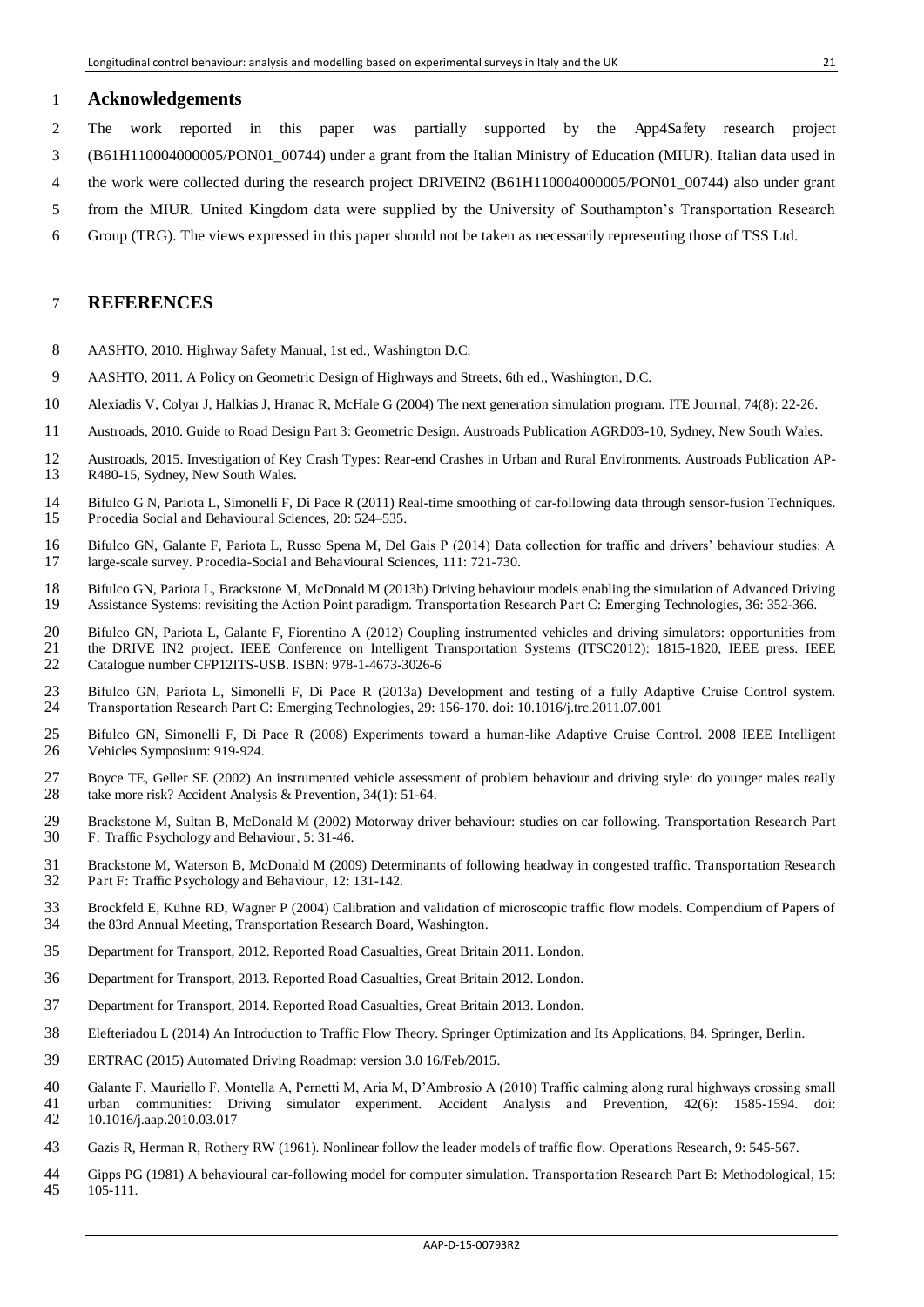#### **Acknowledgements**

- 2 The work reported in this paper was partially supported by the App4Safety research project
- 3 (B61H110004000005/PON01\_00744) under a grant from the Italian Ministry of Education (MIUR). Italian data used in
- 4 the work were collected during the research project DRIVEIN2 (B61H110004000005/PON01\_00744) also under grant
- 5 from the MIUR. United Kingdom data were supplied by the University of Southampton's Transportation Research
- 6 Group (TRG). The views expressed in this paper should not be taken as necessarily representing those of TSS Ltd.

### **REFERENCES**

- AASHTO, 2010. Highway Safety Manual, 1st ed., Washington D.C.
- AASHTO, 2011. A Policy on Geometric Design of Highways and Streets, 6th ed., Washington, D.C.
- Alexiadis V, Colyar J, Halkias J, Hranac R, McHale G (2004) The next generation simulation program. ITE Journal, 74(8): 22-26.
- Austroads, 2010. Guide to Road Design Part 3: Geometric Design. Austroads Publication AGRD03-10, Sydney, New South Wales.
- Austroads, 2015. Investigation of Key Crash Types: Rear-end Crashes in Urban and Rural Environments. Austroads Publication AP-R480-15, Sydney, New South Wales.
- Bifulco G N, Pariota L, Simonelli F, Di Pace R (2011) Real-time smoothing of car-following data through sensor-fusion Techniques. Procedia Social and Behavioural Sciences, 20: 524–535.
- Bifulco GN, Galante F, Pariota L, Russo Spena M, Del Gais P (2014) Data collection for traffic and drivers' behaviour studies: A large-scale survey. Procedia-Social and Behavioural Sciences, 111: 721-730.
- 18 Bifulco GN, Pariota L, Brackstone M, McDonald M (2013b) Driving behaviour models enabling the simulation of Advanced Driving<br>19 Assistance Systems: revisiting the Action Point paradigm. Transportation Research Part C: E Assistance Systems: revisiting the Action Point paradigm. Transportation Research Part C: Emerging Technologies, 36: 352-366.
- Bifulco GN, Pariota L, Galante F, Fiorentino A (2012) Coupling instrumented vehicles and driving simulators: opportunities from 21 the DRIVE IN2 project. IEEE Conference on Intelligent Transportation Systems (ITSC2012): 1815-1820, IEEE press. IEEE<br>22 Catalogue number CFP12ITS-USB. ISBN: 978-1-4673-3026-6
- Catalogue number CFP12ITS-USB. ISBN: 978-1-4673-3026-6
- 23 Bifulco GN, Pariota L, Simonelli F, Di Pace R (2013a) Development and testing of a fully Adaptive Cruise Control system.<br>24 Transportation Research Part C: Emerging Technologies. 29: 156-170. doi: 10.1016/i.trc.2011.07. Transportation Research Part C: Emerging Technologies, 29: 156-170. doi: 10.1016/j.trc.2011.07.001
- Bifulco GN, Simonelli F, Di Pace R (2008) Experiments toward a human-like Adaptive Cruise Control. 2008 IEEE Intelligent Vehicles Symposium: 919-924.
- Boyce TE, Geller SE (2002) An instrumented vehicle assessment of problem behaviour and driving style: do younger males really take more risk? Accident Analysis & Prevention, 34(1): 51-64.
- Brackstone M, Sultan B, McDonald M (2002) Motorway driver behaviour: studies on car following. Transportation Research Part F: Traffic Psychology and Behaviour, 5: 31-46.
- 31 Brackstone M, Waterson B, McDonald M (2009) Determinants of following headway in congested traffic. Transportation Research<br>32 Part F: Traffic Psychology and Behaviour. 12: 131-142. Part F: Traffic Psychology and Behaviour, 12: 131-142.
- Brockfeld E, Kühne RD, Wagner P (2004) Calibration and validation of microscopic traffic flow models. Compendium of Papers of the 83rd Annual Meeting, Transportation Research Board, Washington.
- Department for Transport, 2012. Reported Road Casualties, Great Britain 2011. London.
- Department for Transport, 2013. Reported Road Casualties, Great Britain 2012. London.
- Department for Transport, 2014. Reported Road Casualties, Great Britain 2013. London.
- Elefteriadou L (2014) An Introduction to Traffic Flow Theory. Springer Optimization and Its Applications, 84. Springer, Berlin.
- ERTRAC (2015) Automated Driving Roadmap: version 3.0 16/Feb/2015.
- Galante F, Mauriello F, Montella A, Pernetti M, Aria M, D'Ambrosio A (2010) Traffic calming along rural highways crossing small urban communities: Driving simulator experiment. Accident Analysis and Prevention, 42(6): 1585-1594. doi: 10.1016/j.aap.2010.03.017
- Gazis R, Herman R, Rothery RW (1961). Nonlinear follow the leader models of traffic flow. Operations Research, 9: 545-567.
- Gipps PG (1981) A behavioural car-following model for computer simulation. Transportation Research Part B: Methodological, 15: 105-111.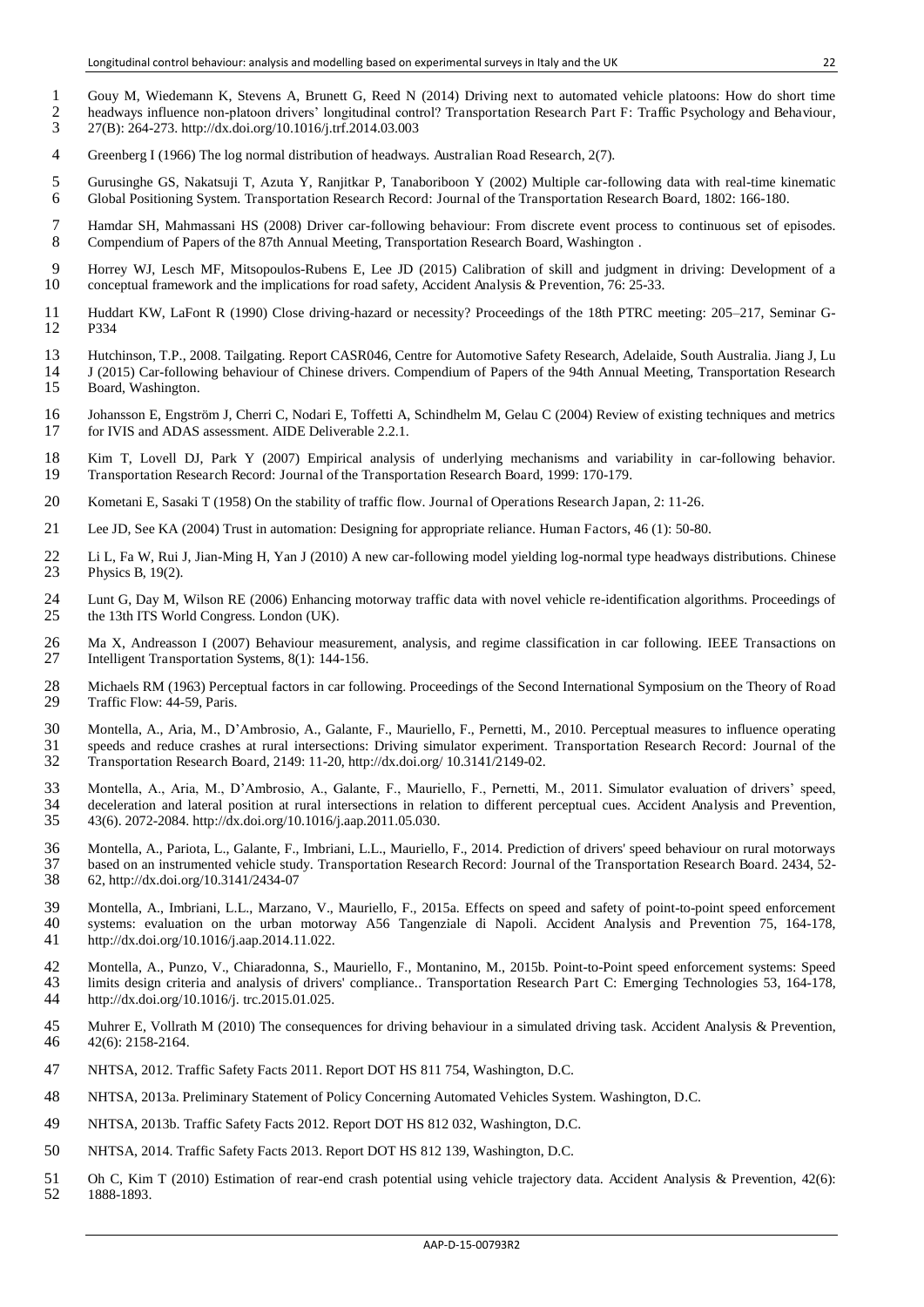- 1 Gouy M, Wiedemann K, Stevens A, Brunett G, Reed N (2014) Driving next to automated vehicle platoons: How do short time
- 2 headways influence non-platoon drivers' longitudinal control? Transportation Research Part F: Traffic Psychology and Behaviour,<br>27(B): 264-273. http://dx.doi.org/10.1016/j.trf.2014.03.003 3 27(B): 264-273. http://dx.doi.org/10.1016/j.trf.2014.03.003
- 4 Greenberg I (1966) The log normal distribution of headways. Australian Road Research, 2(7).
- 5 Gurusinghe GS, Nakatsuji T, Azuta Y, Ranjitkar P, Tanaboriboon Y (2002) Multiple car-following data with real-time kinematic 6 Global Positioning System. Transportation Research Record: Journal of the Transportation Research Board, 1802: 166-180.
- 7 Hamdar SH, Mahmassani HS (2008) Driver car-following behaviour: From discrete event process to continuous set of episodes. 8 Compendium of Papers of the 87th Annual Meeting, Transportation Research Board, Washington .
- 9 Horrey WJ, Lesch MF, Mitsopoulos-Rubens E, Lee JD (2015) Calibration of skill and judgment in driving: Development of a conceptual framework and the implications for road safety, Accident Analysis & Prevention, 76: 25-33 conceptual framework and the implications for road safety, Accident Analysis & Prevention, 76: 25-33.
- 11 Huddart KW, LaFont R (1990) Close driving-hazard or necessity? Proceedings of the 18th PTRC meeting: 205–217, Seminar G-P334
- 13 Hutchinson, T.P., 2008. Tailgating. Report CASR046, Centre for Automotive Safety Research, Adelaide, South Australia. Jiang J, Lu
- 14 J (2015) Car-following behaviour of Chinese drivers. Compendium of Papers of the 94th Annual Meeting, Transportation Research 15 Board, Washington.
- 16 Johansson E, Engström J, Cherri C, Nodari E, Toffetti A, Schindhelm M, Gelau C (2004) Review of existing techniques and metrics 17 for IVIS and ADAS assessment. AIDE Deliverable 2.2.1.
- 18 Kim T, Lovell DJ, Park Y (2007) Empirical analysis of underlying mechanisms and variability in car-following behavior.<br>19 Transportation Research Record: Journal of the Transportation Research Board, 1999: 170-179. 19 Transportation Research Record: Journal of the Transportation Research Board, 1999: 170-179.
- 20 Kometani E, Sasaki T (1958) On the stability of traffic flow. Journal of Operations Research Japan, 2: 11-26.
- 21 Lee JD, See KA (2004) Trust in automation: Designing for appropriate reliance. Human Factors, 46 (1): 50-80.
- 22 Li L, Fa W, Rui J, Jian-Ming H, Yan J (2010) A new car-following model yielding log-normal type headways distributions. Chinese<br>
23 Physics B, 19(2). Physics B, 19(2).
- 24 Lunt G, Day M, Wilson RE (2006) Enhancing motorway traffic data with novel vehicle re-identification algorithms. Proceedings of the 13th ITS World Congress. London (UK). the 13th ITS World Congress. London (UK).
- 26 Ma X, Andreasson I (2007) Behaviour measurement, analysis, and regime classification in car following. IEEE Transactions on Intelligent Transportation Systems. 8(1): 144-156. Intelligent Transportation Systems, 8(1): 144-156.
- 28 Michaels RM (1963) Perceptual factors in car following. Proceedings of the Second International Symposium on the Theory of Road<br>29 Traffic Flow: 44-59, Paris. Traffic Flow: 44-59, Paris.
- 30 Montella, A., Aria, M., D'Ambrosio, A., Galante, F., Mauriello, F., Pernetti, M., 2010. Perceptual measures to influence operating<br>31 speeds and reduce crashes at rural intersections: Driving simulator experiment. Trans speeds and reduce crashes at rural intersections: Driving simulator experiment. Transportation Research Record: Journal of the 32 Transportation Research Board, 2149: 11-20, http://dx.doi.org/ 10.3141/2149-02.
- 33 Montella, A., Aria, M., D'Ambrosio, A., Galante, F., Mauriello, F., Pernetti, M., 2011. Simulator evaluation of drivers' speed, 34 deceleration and lateral position at rural intersections in relation to different perceptual cues. Accident Analysis and Prevention, 35 43(6). 2072-2084. http://dx.doi.org/10.1016/j.aap.2011.05.030.
- 36 Montella, A., Pariota, L., Galante, F., Imbriani, L.L., Mauriello, F., 2014. Prediction of drivers' speed behaviour on rural motorways<br>37 based on an instrumented vehicle study. Transportation Research Record: Journal o 37 based on an instrumented vehicle study. Transportation Research Record: Journal of the Transportation Research Board. 2434, 52- 38 62, http://dx.doi.org/10.3141/2434-07
- 39 Montella, A., Imbriani, L.L., Marzano, V., Mauriello, F., 2015a. Effects on speed and safety of point-to-point speed enforcement 40 systems: evaluation on the urban motorway A56 Tangenziale di Napoli. Accident Analysis systems: evaluation on the urban motorway A56 Tangenziale di Napoli. Accident Analysis and Prevention 75, 164-178, 41 http://dx.doi.org/10.1016/j.aap.2014.11.022.
- 42 Montella, A., Punzo, V., Chiaradonna, S., Mauriello, F., Montanino, M., 2015b. Point-to-Point speed enforcement systems: Speed 43 limits design criteria and analysis of drivers' compliance.. Transportation Research Part C: Emerging Technologies 53, 164-178, http://dx.doi.org/10.1016/j. trc.2015.01.025. http://dx.doi.org/10.1016/j. trc.2015.01.025.
- 45 Muhrer E, Vollrath M (2010) The consequences for driving behaviour in a simulated driving task. Accident Analysis & Prevention,  $42(6)$ : 2158-2164. 42(6): 2158-2164.
- 47 NHTSA, 2012. Traffic Safety Facts 2011. Report DOT HS 811 754, Washington, D.C.
- 48 NHTSA, 2013a. Preliminary Statement of Policy Concerning Automated Vehicles System. Washington, D.C.
- 49 NHTSA, 2013b. Traffic Safety Facts 2012. Report DOT HS 812 032, Washington, D.C.
- 50 NHTSA, 2014. Traffic Safety Facts 2013. Report DOT HS 812 139, Washington, D.C.
- 51 Oh C, Kim T (2010) Estimation of rear-end crash potential using vehicle trajectory data. Accident Analysis & Prevention, 42(6):<br>52 1888-1893. 1888-1893.